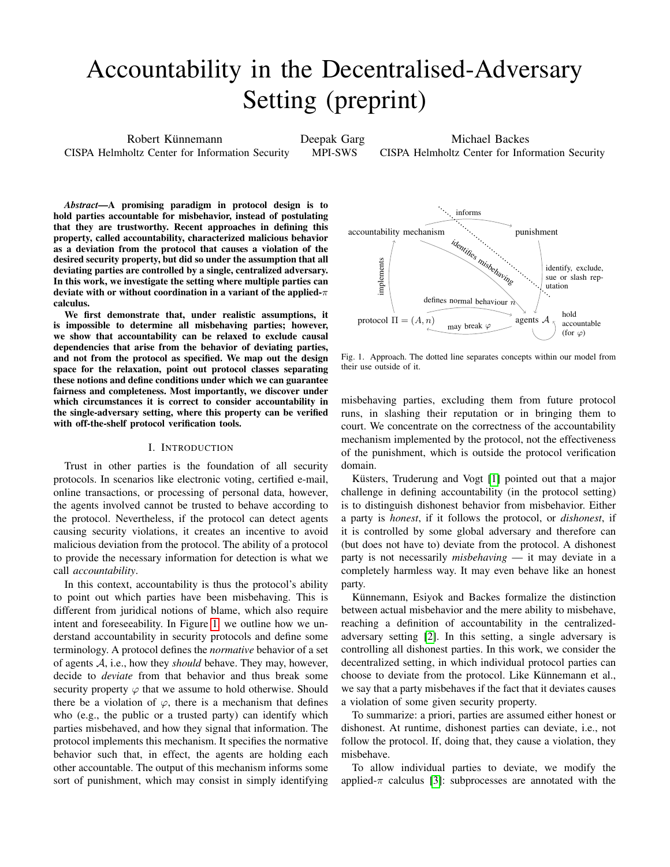# Accountability in the Decentralised-Adversary Setting (preprint)

Robert Künnemann CISPA Helmholtz Center for Information Security Deepak Garg MPI-SWS Michael Backes CISPA Helmholtz Center for Information Security

*Abstract*—A promising paradigm in protocol design is to hold parties accountable for misbehavior, instead of postulating that they are trustworthy. Recent approaches in defining this property, called accountability, characterized malicious behavior as a deviation from the protocol that causes a violation of the desired security property, but did so under the assumption that all deviating parties are controlled by a single, centralized adversary. In this work, we investigate the setting where multiple parties can deviate with or without coordination in a variant of the applied- $\pi$ calculus.

We first demonstrate that, under realistic assumptions, it is impossible to determine all misbehaving parties; however, we show that accountability can be relaxed to exclude causal dependencies that arise from the behavior of deviating parties, and not from the protocol as specified. We map out the design space for the relaxation, point out protocol classes separating these notions and define conditions under which we can guarantee fairness and completeness. Most importantly, we discover under which circumstances it is correct to consider accountability in the single-adversary setting, where this property can be verified with off-the-shelf protocol verification tools.

#### I. INTRODUCTION

Trust in other parties is the foundation of all security protocols. In scenarios like electronic voting, certified e-mail, online transactions, or processing of personal data, however, the agents involved cannot be trusted to behave according to the protocol. Nevertheless, if the protocol can detect agents causing security violations, it creates an incentive to avoid malicious deviation from the protocol. The ability of a protocol to provide the necessary information for detection is what we call *accountability*.

In this context, accountability is thus the protocol's ability to point out which parties have been misbehaving. This is different from juridical notions of blame, which also require intent and foreseeability. In Figure [1,](#page-0-0) we outline how we understand accountability in security protocols and define some terminology. A protocol defines the *normative* behavior of a set of agents A, i.e., how they *should* behave. They may, however, decide to *deviate* from that behavior and thus break some security property  $\varphi$  that we assume to hold otherwise. Should there be a violation of  $\varphi$ , there is a mechanism that defines who (e.g., the public or a trusted party) can identify which parties misbehaved, and how they signal that information. The protocol implements this mechanism. It specifies the normative behavior such that, in effect, the agents are holding each other accountable. The output of this mechanism informs some sort of punishment, which may consist in simply identifying



<span id="page-0-0"></span>Fig. 1. Approach. The dotted line separates concepts within our model from their use outside of it.

misbehaving parties, excluding them from future protocol runs, in slashing their reputation or in bringing them to court. We concentrate on the correctness of the accountability mechanism implemented by the protocol, not the effectiveness of the punishment, which is outside the protocol verification domain.

Küsters, Truderung and Vogt [\[1\]](#page-12-0) pointed out that a major challenge in defining accountability (in the protocol setting) is to distinguish dishonest behavior from misbehavior. Either a party is *honest*, if it follows the protocol, or *dishonest*, if it is controlled by some global adversary and therefore can (but does not have to) deviate from the protocol. A dishonest party is not necessarily *misbehaving* — it may deviate in a completely harmless way. It may even behave like an honest party.

Künnemann, Esiyok and Backes formalize the distinction between actual misbehavior and the mere ability to misbehave, reaching a definition of accountability in the centralizedadversary setting [\[2\]](#page-12-1). In this setting, a single adversary is controlling all dishonest parties. In this work, we consider the decentralized setting, in which individual protocol parties can choose to deviate from the protocol. Like Künnemann et al., we say that a party misbehaves if the fact that it deviates causes a violation of some given security property.

To summarize: a priori, parties are assumed either honest or dishonest. At runtime, dishonest parties can deviate, i.e., not follow the protocol. If, doing that, they cause a violation, they misbehave.

To allow individual parties to deviate, we modify the applied- $\pi$  calculus [\[3\]](#page-12-2): subprocesses are annotated with the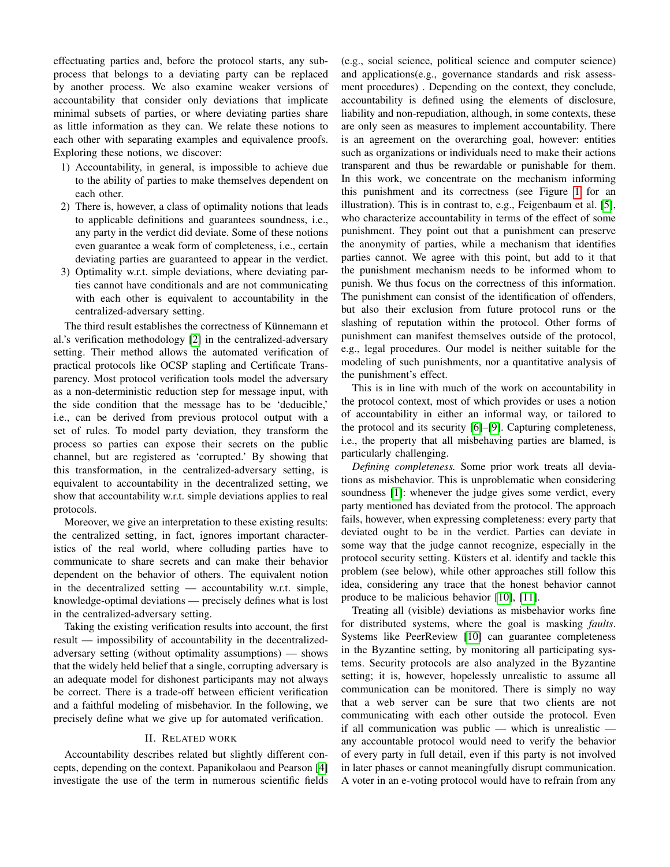effectuating parties and, before the protocol starts, any subprocess that belongs to a deviating party can be replaced by another process. We also examine weaker versions of accountability that consider only deviations that implicate minimal subsets of parties, or where deviating parties share as little information as they can. We relate these notions to each other with separating examples and equivalence proofs. Exploring these notions, we discover:

- 1) Accountability, in general, is impossible to achieve due to the ability of parties to make themselves dependent on each other.
- 2) There is, however, a class of optimality notions that leads to applicable definitions and guarantees soundness, i.e., any party in the verdict did deviate. Some of these notions even guarantee a weak form of completeness, i.e., certain deviating parties are guaranteed to appear in the verdict.
- 3) Optimality w.r.t. simple deviations, where deviating parties cannot have conditionals and are not communicating with each other is equivalent to accountability in the centralized-adversary setting.

The third result establishes the correctness of Künnemann et al.'s verification methodology [\[2\]](#page-12-1) in the centralized-adversary setting. Their method allows the automated verification of practical protocols like OCSP stapling and Certificate Transparency. Most protocol verification tools model the adversary as a non-deterministic reduction step for message input, with the side condition that the message has to be 'deducible,' i.e., can be derived from previous protocol output with a set of rules. To model party deviation, they transform the process so parties can expose their secrets on the public channel, but are registered as 'corrupted.' By showing that this transformation, in the centralized-adversary setting, is equivalent to accountability in the decentralized setting, we show that accountability w.r.t. simple deviations applies to real protocols.

Moreover, we give an interpretation to these existing results: the centralized setting, in fact, ignores important characteristics of the real world, where colluding parties have to communicate to share secrets and can make their behavior dependent on the behavior of others. The equivalent notion in the decentralized setting — accountability w.r.t. simple, knowledge-optimal deviations — precisely defines what is lost in the centralized-adversary setting.

Taking the existing verification results into account, the first result — impossibility of accountability in the decentralizedadversary setting (without optimality assumptions) — shows that the widely held belief that a single, corrupting adversary is an adequate model for dishonest participants may not always be correct. There is a trade-off between efficient verification and a faithful modeling of misbehavior. In the following, we precisely define what we give up for automated verification.

#### II. RELATED WORK

Accountability describes related but slightly different concepts, depending on the context. Papanikolaou and Pearson [\[4\]](#page-12-3) investigate the use of the term in numerous scientific fields (e.g., social science, political science and computer science) and applications(e.g., governance standards and risk assessment procedures) . Depending on the context, they conclude, accountability is defined using the elements of disclosure, liability and non-repudiation, although, in some contexts, these are only seen as measures to implement accountability. There is an agreement on the overarching goal, however: entities such as organizations or individuals need to make their actions transparent and thus be rewardable or punishable for them. In this work, we concentrate on the mechanism informing this punishment and its correctness (see Figure [1](#page-0-0) for an illustration). This is in contrast to, e.g., Feigenbaum et al. [\[5\]](#page-12-4), who characterize accountability in terms of the effect of some punishment. They point out that a punishment can preserve the anonymity of parties, while a mechanism that identifies parties cannot. We agree with this point, but add to it that the punishment mechanism needs to be informed whom to punish. We thus focus on the correctness of this information. The punishment can consist of the identification of offenders, but also their exclusion from future protocol runs or the slashing of reputation within the protocol. Other forms of punishment can manifest themselves outside of the protocol, e.g., legal procedures. Our model is neither suitable for the modeling of such punishments, nor a quantitative analysis of the punishment's effect.

This is in line with much of the work on accountability in the protocol context, most of which provides or uses a notion of accountability in either an informal way, or tailored to the protocol and its security [\[6\]](#page-12-5)–[\[9\]](#page-12-6). Capturing completeness, i.e., the property that all misbehaving parties are blamed, is particularly challenging.

*Defining completeness.* Some prior work treats all deviations as misbehavior. This is unproblematic when considering soundness [\[1\]](#page-12-0): whenever the judge gives some verdict, every party mentioned has deviated from the protocol. The approach fails, however, when expressing completeness: every party that deviated ought to be in the verdict. Parties can deviate in some way that the judge cannot recognize, especially in the protocol security setting. Küsters et al. identify and tackle this problem (see below), while other approaches still follow this idea, considering any trace that the honest behavior cannot produce to be malicious behavior [\[10\]](#page-12-7), [\[11\]](#page-12-8).

Treating all (visible) deviations as misbehavior works fine for distributed systems, where the goal is masking *faults*. Systems like PeerReview [\[10\]](#page-12-7) can guarantee completeness in the Byzantine setting, by monitoring all participating systems. Security protocols are also analyzed in the Byzantine setting; it is, however, hopelessly unrealistic to assume all communication can be monitored. There is simply no way that a web server can be sure that two clients are not communicating with each other outside the protocol. Even if all communication was public — which is unrealistic any accountable protocol would need to verify the behavior of every party in full detail, even if this party is not involved in later phases or cannot meaningfully disrupt communication. A voter in an e-voting protocol would have to refrain from any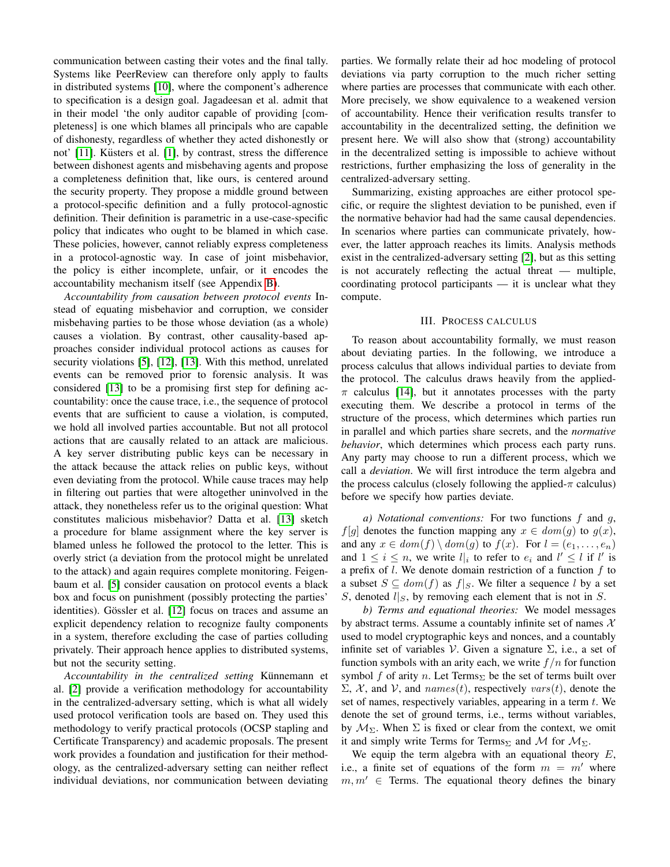communication between casting their votes and the final tally. Systems like PeerReview can therefore only apply to faults in distributed systems [\[10\]](#page-12-7), where the component's adherence to specification is a design goal. Jagadeesan et al. admit that in their model 'the only auditor capable of providing [completeness] is one which blames all principals who are capable of dishonesty, regardless of whether they acted dishonestly or not'  $[11]$ . Küsters et al.  $[1]$ , by contrast, stress the difference between dishonest agents and misbehaving agents and propose a completeness definition that, like ours, is centered around the security property. They propose a middle ground between a protocol-specific definition and a fully protocol-agnostic definition. Their definition is parametric in a use-case-specific policy that indicates who ought to be blamed in which case. These policies, however, cannot reliably express completeness in a protocol-agnostic way. In case of joint misbehavior, the policy is either incomplete, unfair, or it encodes the accountability mechanism itself (see Appendix [B\)](#page-14-0).

*Accountability from causation between protocol events* Instead of equating misbehavior and corruption, we consider misbehaving parties to be those whose deviation (as a whole) causes a violation. By contrast, other causality-based approaches consider individual protocol actions as causes for security violations [\[5\]](#page-12-4), [\[12\]](#page-12-9), [\[13\]](#page-12-10). With this method, unrelated events can be removed prior to forensic analysis. It was considered [\[13\]](#page-12-10) to be a promising first step for defining accountability: once the cause trace, i.e., the sequence of protocol events that are sufficient to cause a violation, is computed, we hold all involved parties accountable. But not all protocol actions that are causally related to an attack are malicious. A key server distributing public keys can be necessary in the attack because the attack relies on public keys, without even deviating from the protocol. While cause traces may help in filtering out parties that were altogether uninvolved in the attack, they nonetheless refer us to the original question: What constitutes malicious misbehavior? Datta et al. [\[13\]](#page-12-10) sketch a procedure for blame assignment where the key server is blamed unless he followed the protocol to the letter. This is overly strict (a deviation from the protocol might be unrelated to the attack) and again requires complete monitoring. Feigenbaum et al. [\[5\]](#page-12-4) consider causation on protocol events a black box and focus on punishment (possibly protecting the parties' identities). Gössler et al. [\[12\]](#page-12-9) focus on traces and assume an explicit dependency relation to recognize faulty components in a system, therefore excluding the case of parties colluding privately. Their approach hence applies to distributed systems, but not the security setting.

*Accountability in the centralized setting* Künnemann et al. [\[2\]](#page-12-1) provide a verification methodology for accountability in the centralized-adversary setting, which is what all widely used protocol verification tools are based on. They used this methodology to verify practical protocols (OCSP stapling and Certificate Transparency) and academic proposals. The present work provides a foundation and justification for their methodology, as the centralized-adversary setting can neither reflect individual deviations, nor communication between deviating parties. We formally relate their ad hoc modeling of protocol deviations via party corruption to the much richer setting where parties are processes that communicate with each other. More precisely, we show equivalence to a weakened version of accountability. Hence their verification results transfer to accountability in the decentralized setting, the definition we present here. We will also show that (strong) accountability in the decentralized setting is impossible to achieve without restrictions, further emphasizing the loss of generality in the centralized-adversary setting.

Summarizing, existing approaches are either protocol specific, or require the slightest deviation to be punished, even if the normative behavior had had the same causal dependencies. In scenarios where parties can communicate privately, however, the latter approach reaches its limits. Analysis methods exist in the centralized-adversary setting [\[2\]](#page-12-1), but as this setting is not accurately reflecting the actual threat — multiple, coordinating protocol participants — it is unclear what they compute.

#### III. PROCESS CALCULUS

To reason about accountability formally, we must reason about deviating parties. In the following, we introduce a process calculus that allows individual parties to deviate from the protocol. The calculus draws heavily from the applied- $\pi$  calculus [\[14\]](#page-12-11), but it annotates processes with the party executing them. We describe a protocol in terms of the structure of the process, which determines which parties run in parallel and which parties share secrets, and the *normative behavior*, which determines which process each party runs. Any party may choose to run a different process, which we call a *deviation*. We will first introduce the term algebra and the process calculus (closely following the applied- $\pi$  calculus) before we specify how parties deviate.

*a) Notational conventions:* For two functions f and g,  $f[g]$  denotes the function mapping any  $x \in dom(g)$  to  $g(x)$ , and any  $x \in dom(f) \setminus dom(g)$  to  $f(x)$ . For  $l = (e_1, \ldots, e_n)$ and  $1 \leq i \leq n$ , we write  $l_i$  to refer to  $e_i$  and  $l' \leq l$  if  $l'$  is a prefix of  $l$ . We denote domain restriction of a function  $f$  to a subset  $S \subseteq dom(f)$  as  $f|_S$ . We filter a sequence l by a set S, denoted  $l|<sub>S</sub>$ , by removing each element that is not in S.

*b) Terms and equational theories:* We model messages by abstract terms. Assume a countably infinite set of names  $X$ used to model cryptographic keys and nonces, and a countably infinite set of variables V. Given a signature  $\Sigma$ , i.e., a set of function symbols with an arity each, we write  $f/n$  for function symbol f of arity n. Let Terms<sub>Σ</sub> be the set of terms built over  $\Sigma$ , X, and V, and names(t), respectively vars(t), denote the set of names, respectively variables, appearing in a term  $t$ . We denote the set of ground terms, i.e., terms without variables, by  $M_{\Sigma}$ . When  $\Sigma$  is fixed or clear from the context, we omit it and simply write Terms for Terms<sub>Σ</sub> and M for  $M_{\Sigma}$ .

We equip the term algebra with an equational theory  $E$ , i.e., a finite set of equations of the form  $m = m'$  where  $m, m' \in$  Terms. The equational theory defines the binary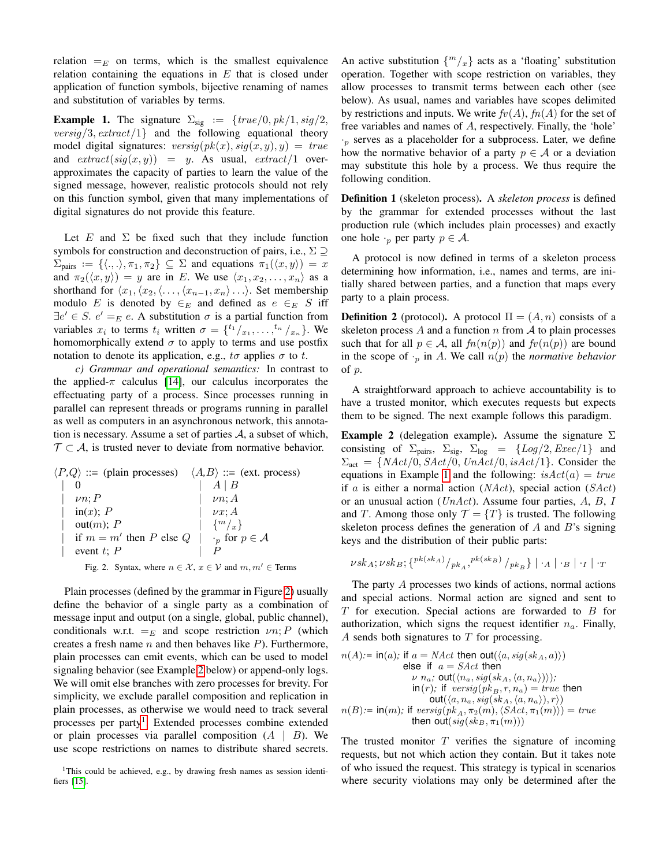relation  $=_E$  on terms, which is the smallest equivalence relation containing the equations in  $E$  that is closed under application of function symbols, bijective renaming of names and substitution of variables by terms.

<span id="page-3-3"></span>**Example 1.** The signature  $\Sigma_{\text{sig}} := \{true/0, pk/1, sig/2, \}$  $versig/3, extract/1$ } and the following equational theory model digital signatures:  $versig(pk(x), sig(x, y), y) = true$ and  $extract(sig(x, y)) = y$ . As usual,  $extract/1$  overapproximates the capacity of parties to learn the value of the signed message, however, realistic protocols should not rely on this function symbol, given that many implementations of digital signatures do not provide this feature.

Let  $E$  and  $\Sigma$  be fixed such that they include function symbols for construction and deconstruction of pairs, i.e.,  $\Sigma \supseteq$  $\Sigma_{\text{pairs}} := \{ \langle ., . \rangle, \pi_1, \pi_2 \} \subseteq \Sigma$  and equations  $\pi_1(\langle x, y \rangle) = x$ and  $\pi_2(\langle x, y \rangle) = y$  are in E. We use  $\langle x_1, x_2, \ldots, x_n \rangle$  as a shorthand for  $\langle x_1,\langle x_2,\langle \ldots,\langle x_{n-1}, x_n\rangle \ldots \rangle$ . Set membership modulo E is denoted by  $\in$ E and defined as  $e \in$ E S iff  $\exists e' \in S$ .  $e' =_E e$ . A substitution  $\sigma$  is a partial function from variables  $x_i$  to terms  $t_i$  written  $\sigma = \{t^i/_{x_1}, \ldots, t^n/_{x_n}\}.$  We homomorphically extend  $\sigma$  to apply to terms and use postfix notation to denote its application, e.g.,  $t\sigma$  applies  $\sigma$  to  $t$ .

*c) Grammar and operational semantics:* In contrast to the applied- $\pi$  calculus [\[14\]](#page-12-11), our calculus incorporates the effectuating party of a process. Since processes running in parallel can represent threads or programs running in parallel as well as computers in an asynchronous network, this annotation is necessary. Assume a set of parties  $A$ , a subset of which,  $\mathcal{T} \subset \mathcal{A}$ , is trusted never to deviate from normative behavior.

$$
\langle P,Q \rangle ::= (\text{plain processes}) \quad \langle A,B \rangle ::= (\text{ext. process})
$$
\n
$$
\begin{array}{ccc}\n\mid & 0 & \mid & A \mid B \\
\mid & \nu n; P & \mid & \nu n; A \\
\mid & \text{in}(x); P & \mid & \nu x; A \\
\mid & \text{out}(m); P & \mid & \{m/x\} \\
\mid & \text{if } m = m' \text{ then } P \text{ else } Q & \mid & p \text{ for } p \in \mathcal{A} \\
\mid & \text{event } t; P & \mid & P\n\end{array}
$$

<span id="page-3-0"></span>Fig. 2. Syntax, where  $n \in \mathcal{X}, x \in \mathcal{V}$  and  $m, m' \in \text{Terms}$ 

Plain processes (defined by the grammar in Figure [2\)](#page-3-0) usually define the behavior of a single party as a combination of message input and output (on a single, global, public channel), conditionals w.r.t.  $=_E$  and scope restriction  $\nu$ n; P (which creates a fresh name  $n$  and then behaves like  $P$ ). Furthermore, plain processes can emit events, which can be used to model signaling behavior (see Example [2](#page-3-1) below) or append-only logs. We will omit else branches with zero processes for brevity. For simplicity, we exclude parallel composition and replication in plain processes, as otherwise we would need to track several processes per party<sup>[1](#page-3-2)</sup>. Extended processes combine extended or plain processes via parallel composition  $(A \mid B)$ . We use scope restrictions on names to distribute shared secrets.

An active substitution  ${m \choose x}$  acts as a 'floating' substitution operation. Together with scope restriction on variables, they allow processes to transmit terms between each other (see below). As usual, names and variables have scopes delimited by restrictions and inputs. We write  $fv(A)$ ,  $fn(A)$  for the set of free variables and names of A, respectively. Finally, the 'hole'  $r_p$  serves as a placeholder for a subprocess. Later, we define how the normative behavior of a party  $p \in A$  or a deviation may substitute this hole by a process. We thus require the following condition.

Definition 1 (skeleton process). A *skeleton process* is defined by the grammar for extended processes without the last production rule (which includes plain processes) and exactly one hole  $\cdot_p$  per party  $p \in \mathcal{A}$ .

A protocol is now defined in terms of a skeleton process determining how information, i.e., names and terms, are initially shared between parties, and a function that maps every party to a plain process.

<span id="page-3-4"></span>**Definition 2** (protocol). A protocol  $\Pi = (A, n)$  consists of a skeleton process  $A$  and a function  $n$  from  $A$  to plain processes such that for all  $p \in A$ , all  $fn(n(p))$  and  $fv(n(p))$  are bound in the scope of  $\cdot_p$  in A. We call  $n(p)$  the *normative behavior* of p.

A straightforward approach to achieve accountability is to have a trusted monitor, which executes requests but expects them to be signed. The next example follows this paradigm.

<span id="page-3-1"></span>**Example 2** (delegation example). Assume the signature  $\Sigma$ consisting of  $\Sigma_{\text{pairs}}$ ,  $\Sigma_{\text{sig}}$ ,  $\Sigma_{\text{log}}$  = {Log/2, Exec/1} and  $\Sigma_{\text{act}} = \{ NAct/0, SAct/0, UnAct/0, isAct/1 \}.$  Consider the equations in Example [1](#page-3-3) and the following:  $isAct(a) = true$ if a is either a normal action  $(NAct)$ , special action  $(SAct)$ or an unusual action ( $UnAct$ ). Assume four parties,  $A, B, I$ and T. Among those only  $\mathcal{T} = \{T\}$  is trusted. The following skeleton process defines the generation of  $A$  and  $B$ 's signing keys and the distribution of their public parts:

$$
\nu s k_A ; \nu s k_B ; \{^{pk(s k_A)}/\rho k_A, ^{pk(s k_B)}/\rho k_B \} | \cdot_A | \cdot_B | \cdot_I | \cdot_T
$$

The party A processes two kinds of actions, normal actions and special actions. Normal action are signed and sent to  $T$  for execution. Special actions are forwarded to  $B$  for authorization, which signs the request identifier  $n_a$ . Finally, A sends both signatures to  $T$  for processing.

$$
n(A) := \text{in}(a); \text{ if } a = \text{Mact} \text{ then } \text{out}(\langle a, sig(sk_A, a \rangle))
$$
\nelse if  $a = \text{SAct}$  then\n
$$
\nu n_a; \text{out}(\langle n_a, sig(sk_A, \langle a, n_a \rangle)));
$$
\n
$$
\text{in}(r); \text{ if } versig(pk_B, r, n_a) = \text{true} \text{ then}
$$
\n
$$
\text{out}(\langle a, n_a, sig(sk_A, \langle a, n_a \rangle), r \rangle)
$$
\n
$$
n(B) := \text{in}(m); \text{ if } versig(pk_A, \pi_2(m), \langle SAct, \pi_1(m) \rangle) = \text{true}
$$
\nthen 
$$
\text{out}(sig(sk_B, \pi_1(m)))
$$

The trusted monitor  $T$  verifies the signature of incoming requests, but not which action they contain. But it takes note of who issued the request. This strategy is typical in scenarios where security violations may only be determined after the

<span id="page-3-2"></span><sup>&</sup>lt;sup>1</sup>This could be achieved, e.g., by drawing fresh names as session identifiers [\[15\]](#page-12-12).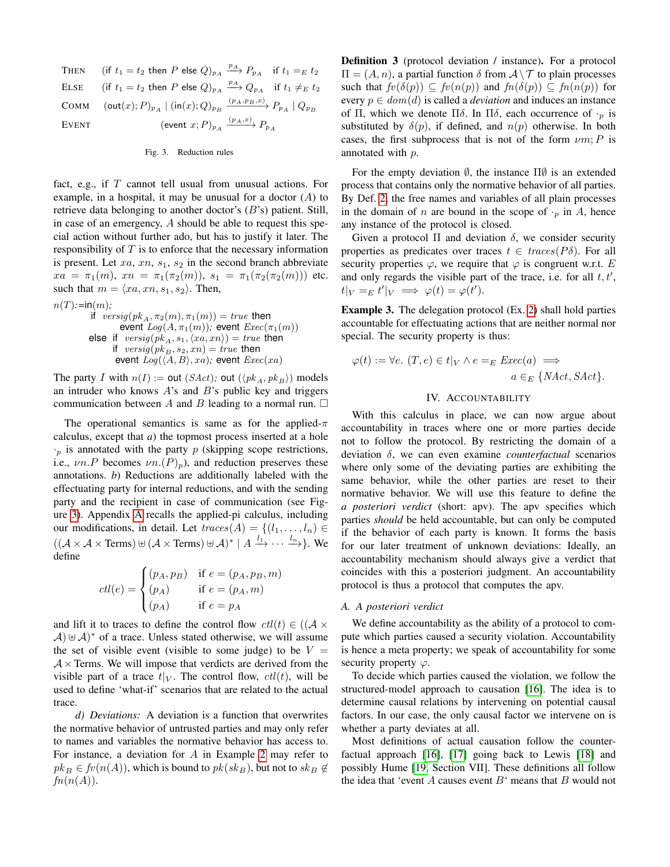THEN (if  $t_1 = t_2$  then P else  $Q)_{p_A} \xrightarrow{p_A} P_{p_A}$  if  $t_1 =_E t_2$ ELSE (if  $t_1 = t_2$  then P else  $Q)_{p_A} \xrightarrow{p_A} Q_{p_A}$  if  $t_1 \neq_E t_2$ COMM  $(\textsf{out}(x); P)_{p_A} | (\textsf{in}(x); Q)_{p_B} \xrightarrow{(p_A, p_B, x)} P_{p_A} | Q_{p_B}$ EVENT (event  $x;P)_{p_A} \xrightarrow{(p_A,x)} P_{p_A}$ 

#### <span id="page-4-0"></span>Fig. 3. Reduction rules

fact, e.g., if  $T$  cannot tell usual from unusual actions. For example, in a hospital, it may be unusual for a doctor  $(A)$  to retrieve data belonging to another doctor's  $(B's)$  patient. Still, in case of an emergency, A should be able to request this special action without further ado, but has to justify it later. The responsibility of  $T$  is to enforce that the necessary information is present. Let  $xa$ ,  $xn$ ,  $s_1$ ,  $s_2$  in the second branch abbreviate  $xa = \pi_1(m), xn = \pi_1(\pi_2(m)), s_1 = \pi_1(\pi_2(\pi_2(m)))$  etc. such that  $m = \langle xa, xn, s_1, s_2 \rangle$ . Then,

$$
n(T):=\text{in}(m);
$$
\nif  $versig(pk_A, \pi_2(m), \pi_1(m)) = true$  then  
\nevent  $Log(A, \pi_1(m));$  event  $Exec(\pi_1(m))$   
\nelse if  $versig(pk_A, s_1, \langle xa, xn \rangle) = true$  then  
\nif  $versig(pk_B, s_2, xn) = true$  then  
\nevent  $Log(\langle A, B \rangle, xa)$ ; event  $Exec(xa)$ 

The party I with  $n(I) := \text{out } (SAct)$ ; out  $(\langle pk_A, pk_B \rangle)$  models an intruder who knows  $A$ 's and  $B$ 's public key and triggers communication between A and B leading to a normal run.  $\square$ 

The operational semantics is same as for the applied- $\pi$ calculus, except that *a*) the topmost process inserted at a hole  $\cdot_p$  is annotated with the party p (skipping scope restrictions, i.e.,  $\nu n.P$  becomes  $\nu n.(P)<sub>p</sub>$ ), and reduction preserves these annotations. *b*) Reductions are additionally labeled with the effectuating party for internal reductions, and with the sending party and the recipient in case of communication (see Figure [3\)](#page-4-0). Appendix [A](#page-13-0) recalls the applied-pi calculus, including our modifications, in detail. Let  $traces(A) = \{(l_1, \ldots, l_n) \in$  $((\mathcal{A}\times\mathcal{A}\times\text{Terms})\uplus (\mathcal{A}\times\text{Terms})\uplus \mathcal{A})^* \mid A \xrightarrow{l_1} \cdots \xrightarrow{l_n}$ . We define

$$
ctl(e) = \begin{cases} (p_A, p_B) & \text{if } e = (p_A, p_B, m) \\ (p_A) & \text{if } e = (p_A, m) \\ (p_A) & \text{if } e = p_A \end{cases}
$$

and lift it to traces to define the control flow  $\text{cl}(t) \in ((A \times$  $(A) \oplus A$ <sup>\*</sup> of a trace. Unless stated otherwise, we will assume the set of visible event (visible to some judge) to be  $V =$  $A \times$  Terms. We will impose that verdicts are derived from the visible part of a trace  $t|_V$ . The control flow,  $\operatorname{ctl}(t)$ , will be used to define 'what-if' scenarios that are related to the actual trace.

*d) Deviations:* A deviation is a function that overwrites the normative behavior of untrusted parties and may only refer to names and variables the normative behavior has access to. For instance, a deviation for A in Example [2](#page-3-1) may refer to  $pk_B \in fv(n(A))$ , which is bound to  $pk(sk_B$ ), but not to  $sk_B \notin$  $fn(n(A)).$ 

<span id="page-4-1"></span>Definition 3 (protocol deviation / instance). For a protocol  $\Pi = (A, n)$ , a partial function  $\delta$  from  $A \setminus \mathcal{T}$  to plain processes such that  $f\nu(\delta(p)) \subseteq f\nu(n(p))$  and  $f\nu(\delta(p)) \subseteq f\nu(n(p))$  for every  $p \in dom(d)$  is called a *deviation* and induces an instance of Π, which we denote Πδ. In Πδ, each occurrence of  $\cdot_p$  is substituted by  $\delta(p)$ , if defined, and  $n(p)$  otherwise. In both cases, the first subprocess that is not of the form  $\nu m$ ; P is annotated with p.

For the empty deviation  $\emptyset$ , the instance  $\Pi\emptyset$  is an extended process that contains only the normative behavior of all parties. By Def. [2,](#page-3-4) the free names and variables of all plain processes in the domain of n are bound in the scope of  $\cdot_p$  in A, hence any instance of the protocol is closed.

Given a protocol  $\Pi$  and deviation  $\delta$ , we consider security properties as predicates over traces  $t \in \text{traces}(P\delta)$ . For all security properties  $\varphi$ , we require that  $\varphi$  is congruent w.r.t. E and only regards the visible part of the trace, i.e. for all  $t, t'$ ,  $t|_V =_E t'|_V \implies \varphi(t) = \varphi(t').$ 

Example 3. The delegation protocol (Ex. [2\)](#page-3-1) shall hold parties accountable for effectuating actions that are neither normal nor special. The security property is thus:

$$
\varphi(t) := \forall e. (T, e) \in t|_V \land e =_E \text{Exec}(a) \implies
$$

$$
a \in_E \{ \text{NAct}, \text{SAct} \}.
$$

#### IV. ACCOUNTABILITY

With this calculus in place, we can now argue about accountability in traces where one or more parties decide not to follow the protocol. By restricting the domain of a deviation δ, we can even examine *counterfactual* scenarios where only some of the deviating parties are exhibiting the same behavior, while the other parties are reset to their normative behavior. We will use this feature to define the *a posteriori verdict* (short: apv). The apv specifies which parties *should* be held accountable, but can only be computed if the behavior of each party is known. It forms the basis for our later treatment of unknown deviations: Ideally, an accountability mechanism should always give a verdict that coincides with this a posteriori judgment. An accountability protocol is thus a protocol that computes the apv.

#### *A. A posteriori verdict*

We define accountability as the ability of a protocol to compute which parties caused a security violation. Accountability is hence a meta property; we speak of accountability for some security property  $\varphi$ .

To decide which parties caused the violation, we follow the structured-model approach to causation [\[16\]](#page-12-13). The idea is to determine causal relations by intervening on potential causal factors. In our case, the only causal factor we intervene on is whether a party deviates at all.

Most definitions of actual causation follow the counterfactual approach [\[16\]](#page-12-13), [\[17\]](#page-12-14) going back to Lewis [\[18\]](#page-12-15) and possibly Hume [\[19,](#page-12-16) Section VII]. These definitions all follow the idea that 'event  $A$  causes event  $B$ ' means that  $B$  would not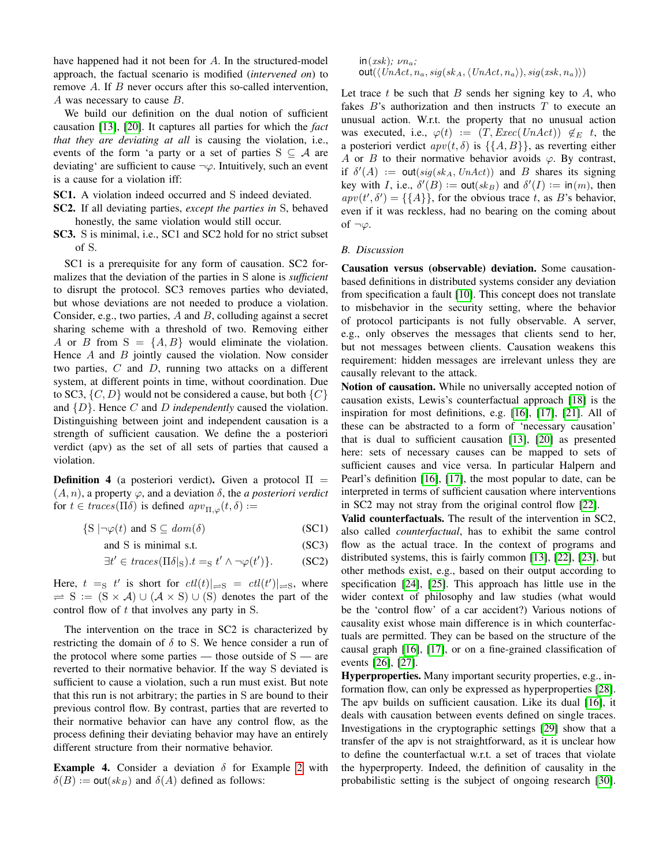have happened had it not been for A. In the structured-model approach, the factual scenario is modified (*intervened on*) to remove A. If B never occurs after this so-called intervention, A was necessary to cause B.

We build our definition on the dual notion of sufficient causation [\[13\]](#page-12-10), [\[20\]](#page-12-17). It captures all parties for which the *fact that they are deviating at all* is causing the violation, i.e., events of the form 'a party or a set of parties  $S \subseteq A$  are deviating' are sufficient to cause  $\neg \varphi$ . Intuitively, such an event is a cause for a violation iff:

- SC1. A violation indeed occurred and S indeed deviated.
- SC2. If all deviating parties, *except the parties in* S, behaved honestly, the same violation would still occur.
- SC3. S is minimal, i.e., SC1 and SC2 hold for no strict subset of S.

SC1 is a prerequisite for any form of causation. SC2 formalizes that the deviation of the parties in S alone is *sufficient* to disrupt the protocol. SC3 removes parties who deviated, but whose deviations are not needed to produce a violation. Consider, e.g., two parties,  $A$  and  $B$ , colluding against a secret sharing scheme with a threshold of two. Removing either A or B from  $S = \{A, B\}$  would eliminate the violation. Hence  $A$  and  $B$  jointly caused the violation. Now consider two parties,  $C$  and  $D$ , running two attacks on a different system, at different points in time, without coordination. Due to SC3,  $\{C, D\}$  would not be considered a cause, but both  $\{C\}$ and {D}. Hence C and D *independently* caused the violation. Distinguishing between joint and independent causation is a strength of sufficient causation. We define the a posteriori verdict (apv) as the set of all sets of parties that caused a violation.

<span id="page-5-0"></span>**Definition 4** (a posteriori verdict). Given a protocol  $\Pi$  =  $(A, n)$ , a property  $\varphi$ , and a deviation  $\delta$ , the *a posteriori verdict* for  $t \in \text{traces}(\Pi \delta)$  is defined  $\text{app}_{\Pi, \varphi}(t, \delta) :=$ 

 $\{S \mid \neg \varphi(t) \text{ and } S \subseteq dom(\delta) \}$  (SC1)

and S is minimal s.t. (SC3)

 $\exists t' \in \text{traces}(\Pi \delta |_{\rm S}) . t =_{\rm S} t' \wedge \neg \varphi(t')$  $(SC2)$ 

Here,  $t =_S t'$  is short for  $\frac{ctl(t)|}{s} \neq \frac{ctl(t')|}{s}$ , where  $\Rightarrow$  S := (S × A) ∪ (A × S) ∪ (S) denotes the part of the control flow of t that involves any party in S.

The intervention on the trace in SC2 is characterized by restricting the domain of  $\delta$  to S. We hence consider a run of the protocol where some parties — those outside of  $S$  — are reverted to their normative behavior. If the way S deviated is sufficient to cause a violation, such a run must exist. But note that this run is not arbitrary; the parties in S are bound to their previous control flow. By contrast, parties that are reverted to their normative behavior can have any control flow, as the process defining their deviating behavior may have an entirely different structure from their normative behavior.

**Example 4.** Consider a deviation  $\delta$  for Example [2](#page-3-1) with  $\delta(B) := \text{out}(sk_B)$  and  $\delta(A)$  defined as follows:

 $in(xsk)$ ;  $\nu n_a$ ;  $out(\langle UnAct, n_a, sig(sk_A, \langle UnAct, n_a \rangle), sig(xsk, n_a)\rangle)$ 

Let trace  $t$  be such that  $B$  sends her signing key to  $A$ , who fakes  $B$ 's authorization and then instructs  $T$  to execute an unusual action. W.r.t. the property that no unusual action was executed, i.e.,  $\varphi(t) := (T,Exec(UnAct)) \notin_E t$ , the a posteriori verdict  $apv(t, \delta)$  is  $\{\{A, B\}\}\$ , as reverting either A or B to their normative behavior avoids  $\varphi$ . By contrast, if  $\delta'(A) := \text{out}(sig(ska, UnAct))$  and B shares its signing key with *I*, i.e.,  $\delta'(B) := \text{out}(sk_B)$  and  $\delta'(I) := \text{in}(m)$ , then  $apv(t',\delta') = \{\{A\}\}\$ , for the obvious trace t, as B's behavior, even if it was reckless, had no bearing on the coming about of  $\neg \varphi$ .

#### <span id="page-5-1"></span>*B. Discussion*

Causation versus (observable) deviation. Some causationbased definitions in distributed systems consider any deviation from specification a fault [\[10\]](#page-12-7). This concept does not translate to misbehavior in the security setting, where the behavior of protocol participants is not fully observable. A server, e.g., only observes the messages that clients send to her, but not messages between clients. Causation weakens this requirement: hidden messages are irrelevant unless they are causally relevant to the attack.

Notion of causation. While no universally accepted notion of causation exists, Lewis's counterfactual approach [\[18\]](#page-12-15) is the inspiration for most definitions, e.g. [\[16\]](#page-12-13), [\[17\]](#page-12-14), [\[21\]](#page-12-18). All of these can be abstracted to a form of 'necessary causation' that is dual to sufficient causation [\[13\]](#page-12-10), [\[20\]](#page-12-17) as presented here: sets of necessary causes can be mapped to sets of sufficient causes and vice versa. In particular Halpern and Pearl's definition [\[16\]](#page-12-13), [\[17\]](#page-12-14), the most popular to date, can be interpreted in terms of sufficient causation where interventions in SC2 may not stray from the original control flow [\[22\]](#page-12-19).

Valid counterfactuals. The result of the intervention in SC2, also called *counterfactual*, has to exhibit the same control flow as the actual trace. In the context of programs and distributed systems, this is fairly common [\[13\]](#page-12-10), [\[22\]](#page-12-19), [\[23\]](#page-12-20), but other methods exist, e.g., based on their output according to specification [\[24\]](#page-12-21), [\[25\]](#page-13-1). This approach has little use in the wider context of philosophy and law studies (what would be the 'control flow' of a car accident?) Various notions of causality exist whose main difference is in which counterfactuals are permitted. They can be based on the structure of the causal graph [\[16\]](#page-12-13), [\[17\]](#page-12-14), or on a fine-grained classification of events [\[26\]](#page-13-2), [\[27\]](#page-13-3).

Hyperproperties. Many important security properties, e.g., information flow, can only be expressed as hyperproperties [\[28\]](#page-13-4). The apv builds on sufficient causation. Like its dual [\[16\]](#page-12-13), it deals with causation between events defined on single traces. Investigations in the cryptographic settings [\[29\]](#page-13-5) show that a transfer of the apv is not straightforward, as it is unclear how to define the counterfactual w.r.t. a set of traces that violate the hyperproperty. Indeed, the definition of causality in the probabilistic setting is the subject of ongoing research [\[30\]](#page-13-6).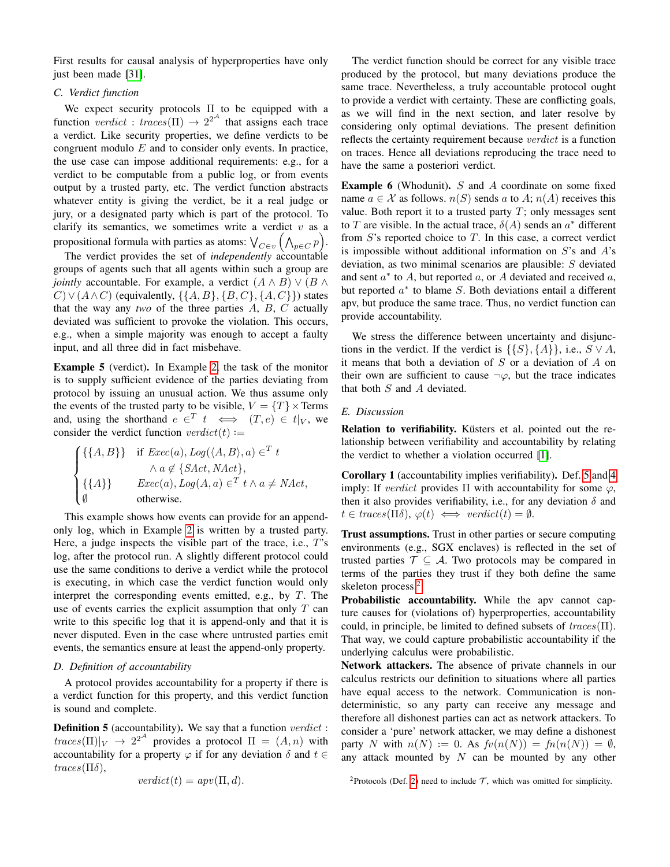First results for causal analysis of hyperproperties have only just been made [\[31\]](#page-13-7).

## *C. Verdict function*

We expect security protocols  $\Pi$  to be equipped with a function verdict : traces( $\Pi$ )  $\rightarrow$  2<sup>2A</sup> that assigns each trace a verdict. Like security properties, we define verdicts to be congruent modulo  $E$  and to consider only events. In practice, the use case can impose additional requirements: e.g., for a verdict to be computable from a public log, or from events output by a trusted party, etc. The verdict function abstracts whatever entity is giving the verdict, be it a real judge or jury, or a designated party which is part of the protocol. To clarify its semantics, we sometimes write a verdict  $v$  as a propositional formula with parties as atoms:  $\bigvee_{C \in v} \big( \bigwedge_{p \in C} p \big).$ 

The verdict provides the set of *independently* accountable groups of agents such that all agents within such a group are *jointly* accountable. For example, a verdict  $(A \wedge B) \vee (B \wedge B)$  $C$ )  $\vee$  ( $A \wedge C$ ) (equivalently,  $\{\{A, B\}, \{B, C\}, \{A, C\}\}\)$  states that the way any *two* of the three parties A, B, C actually deviated was sufficient to provoke the violation. This occurs, e.g., when a simple majority was enough to accept a faulty input, and all three did in fact misbehave.

Example 5 (verdict). In Example [2,](#page-3-1) the task of the monitor is to supply sufficient evidence of the parties deviating from protocol by issuing an unusual action. We thus assume only the events of the trusted party to be visible,  $V = \{T\} \times \text{Terms}$ and, using the shorthand  $e \in T$   $t \iff (T, e) \in t|_V$ , we consider the verdict function  $verdict(t) :=$ 

$$
\begin{cases} \{\{A, B\}\} & \text{if } Exec(a), Log(\langle A, B \rangle, a) \in^T t \\ \wedge a \notin \{SAct, NAct\}, \\ \{\{A\}\} & Exec(a), Log(A, a) \in^T t \wedge a \neq NAct, \\ \emptyset & \text{otherwise.} \end{cases}
$$

This example shows how events can provide for an appendonly log, which in Example [2](#page-3-1) is written by a trusted party. Here, a judge inspects the visible part of the trace, i.e.,  $T$ 's log, after the protocol run. A slightly different protocol could use the same conditions to derive a verdict while the protocol is executing, in which case the verdict function would only interpret the corresponding events emitted, e.g., by  $T$ . The use of events carries the explicit assumption that only  $T$  can write to this specific log that it is append-only and that it is never disputed. Even in the case where untrusted parties emit events, the semantics ensure at least the append-only property.

#### *D. Definition of accountability*

A protocol provides accountability for a property if there is a verdict function for this property, and this verdict function is sound and complete.

<span id="page-6-0"></span>**Definition 5** (accountability). We say that a function  $verdict$ :  $traces(\Pi)|_V \to 2^{2^{\mathcal{A}}}$  provides a protocol  $\Pi = (A, n)$  with accountability for a property  $\varphi$  if for any deviation  $\delta$  and  $t \in$  $traces(\Pi\delta)$ ,

$$
verdict(t) = apv(\Pi, d).
$$

The verdict function should be correct for any visible trace produced by the protocol, but many deviations produce the same trace. Nevertheless, a truly accountable protocol ought to provide a verdict with certainty. These are conflicting goals, as we will find in the next section, and later resolve by considering only optimal deviations. The present definition reflects the certainty requirement because verdict is a function on traces. Hence all deviations reproducing the trace need to have the same a posteriori verdict.

<span id="page-6-3"></span>**Example 6** (Whodunit).  $S$  and  $A$  coordinate on some fixed name  $a \in \mathcal{X}$  as follows.  $n(S)$  sends a to  $A$ ;  $n(A)$  receives this value. Both report it to a trusted party  $T$ ; only messages sent to T are visible. In the actual trace,  $\delta(A)$  sends an  $a^*$  different from  $S$ 's reported choice to  $T$ . In this case, a correct verdict is impossible without additional information on  $S$ 's and  $A$ 's deviation, as two minimal scenarios are plausible: S deviated and sent  $a^*$  to A, but reported  $a$ , or A deviated and received  $a$ , but reported  $a^*$  to blame  $S$ . Both deviations entail a different apv, but produce the same trace. Thus, no verdict function can provide accountability.

We stress the difference between uncertainty and disjunctions in the verdict. If the verdict is  $\{\{S\},\{A\}\}\$ , i.e.,  $S \vee A$ , it means that both a deviation of  $S$  or a deviation of  $A$  on their own are sufficient to cause  $\neg \varphi$ , but the trace indicates that both  $S$  and  $A$  deviated.

# *E. Discussion*

Relation to verifiability. Küsters et al. pointed out the relationship between verifiability and accountability by relating the verdict to whether a violation occurred [\[1\]](#page-12-0).

<span id="page-6-2"></span>Corollary 1 (accountability implies verifiability). Def. [5](#page-6-0) and [4](#page-5-0) imply: If *verdict* provides  $\Pi$  with accountability for some  $\varphi$ , then it also provides verifiability, i.e., for any deviation  $\delta$  and  $t \in \text{traces}(\Pi \delta), \varphi(t) \iff \text{verdict}(t) = \emptyset.$ 

Trust assumptions. Trust in other parties or secure computing environments (e.g., SGX enclaves) is reflected in the set of trusted parties  $\mathcal{T} \subseteq \mathcal{A}$ . Two protocols may be compared in terms of the parties they trust if they both define the same skeleton process.<sup>[2](#page-6-1)</sup>

Probabilistic accountability. While the apv cannot capture causes for (violations of) hyperproperties, accountability could, in principle, be limited to defined subsets of  $traces(\Pi)$ . That way, we could capture probabilistic accountability if the underlying calculus were probabilistic.

Network attackers. The absence of private channels in our calculus restricts our definition to situations where all parties have equal access to the network. Communication is nondeterministic, so any party can receive any message and therefore all dishonest parties can act as network attackers. To consider a 'pure' network attacker, we may define a dishonest party N with  $n(N) := 0$ . As  $fv(n(N)) = fn(n(N)) = \emptyset$ , any attack mounted by  $N$  can be mounted by any other

<span id="page-6-1"></span><sup>2</sup>Protocols (Def. [2\)](#page-3-4) need to include  $\mathcal{T}$ , which was omitted for simplicity.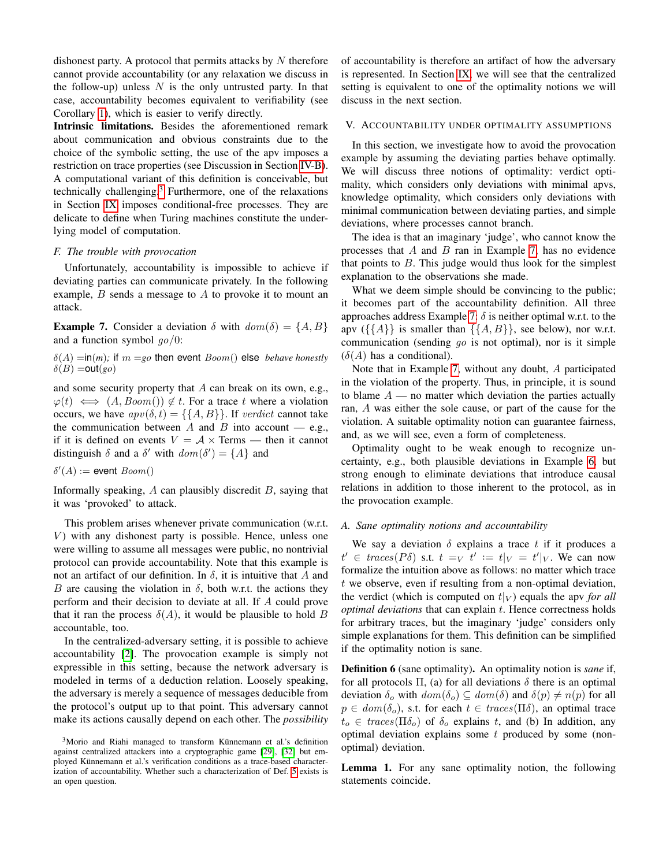dishonest party. A protocol that permits attacks by  $N$  therefore cannot provide accountability (or any relaxation we discuss in the follow-up) unless  $N$  is the only untrusted party. In that case, accountability becomes equivalent to verifiability (see Corollary [1\)](#page-6-2), which is easier to verify directly.

Intrinsic limitations. Besides the aforementioned remark about communication and obvious constraints due to the choice of the symbolic setting, the use of the apv imposes a restriction on trace properties (see Discussion in Section [IV-B\)](#page-5-1). A computational variant of this definition is conceivable, but technically challenging.[3](#page-7-0) Furthermore, one of the relaxations in Section [IX](#page-9-0) imposes conditional-free processes. They are delicate to define when Turing machines constitute the underlying model of computation.

#### *F. The trouble with provocation*

Unfortunately, accountability is impossible to achieve if deviating parties can communicate privately. In the following example,  $B$  sends a message to  $A$  to provoke it to mount an attack.

<span id="page-7-1"></span>**Example 7.** Consider a deviation  $\delta$  with  $dom(\delta) = \{A, B\}$ and a function symbol  $q\rho/0$ :

 $\delta(A)$  =in(*m*); if  $m = go$  then event  $Boom()$  else *behave honestly*  $\delta(B) = \text{out}(go)$ 

and some security property that A can break on its own, e.g.,  $\varphi(t) \iff (A, Boom()) \notin t$ . For a trace t where a violation occurs, we have  $apv(\delta, t) = \{\{A, B\}\}\.$  If verdict cannot take the communication between A and B into account  $-$  e.g., if it is defined on events  $V = A \times \text{Terms}$  — then it cannot distinguish  $\delta$  and a  $\delta'$  with  $dom(\delta') = \{A\}$  and

 $\delta'(A) := \text{event } \mathit{Boom}()$ 

Informally speaking,  $A$  can plausibly discredit  $B$ , saying that it was 'provoked' to attack.

This problem arises whenever private communication (w.r.t.  $V$ ) with any dishonest party is possible. Hence, unless one were willing to assume all messages were public, no nontrivial protocol can provide accountability. Note that this example is not an artifact of our definition. In  $\delta$ , it is intuitive that A and B are causing the violation in  $\delta$ , both w.r.t. the actions they perform and their decision to deviate at all. If A could prove that it ran the process  $\delta(A)$ , it would be plausible to hold B accountable, too.

In the centralized-adversary setting, it is possible to achieve accountability [\[2\]](#page-12-1). The provocation example is simply not expressible in this setting, because the network adversary is modeled in terms of a deduction relation. Loosely speaking, the adversary is merely a sequence of messages deducible from the protocol's output up to that point. This adversary cannot make its actions causally depend on each other. The *possibility* of accountability is therefore an artifact of how the adversary is represented. In Section [IX,](#page-9-0) we will see that the centralized setting is equivalent to one of the optimality notions we will discuss in the next section.

## V. ACCOUNTABILITY UNDER OPTIMALITY ASSUMPTIONS

In this section, we investigate how to avoid the provocation example by assuming the deviating parties behave optimally. We will discuss three notions of optimality: verdict optimality, which considers only deviations with minimal apvs, knowledge optimality, which considers only deviations with minimal communication between deviating parties, and simple deviations, where processes cannot branch.

The idea is that an imaginary 'judge', who cannot know the processes that  $A$  and  $B$  ran in Example [7,](#page-7-1) has no evidence that points to  $B$ . This judge would thus look for the simplest explanation to the observations she made.

What we deem simple should be convincing to the public; it becomes part of the accountability definition. All three approaches address Example [7:](#page-7-1)  $\delta$  is neither optimal w.r.t. to the apv  $({\{A\}}$  is smaller than  ${\{A, B\}}$ , see below), nor w.r.t. communication (sending  $go$  is not optimal), nor is it simple  $(\delta(A)$  has a conditional).

Note that in Example [7,](#page-7-1) without any doubt, A participated in the violation of the property. Thus, in principle, it is sound to blame  $A$  — no matter which deviation the parties actually ran, A was either the sole cause, or part of the cause for the violation. A suitable optimality notion can guarantee fairness, and, as we will see, even a form of completeness.

Optimality ought to be weak enough to recognize uncertainty, e.g., both plausible deviations in Example [6,](#page-6-3) but strong enough to eliminate deviations that introduce causal relations in addition to those inherent to the protocol, as in the provocation example.

#### *A. Sane optimality notions and accountability*

We say a deviation  $\delta$  explains a trace t if it produces a  $t' \in \text{traces}(P\delta)$  s.t.  $t =_V t' := t|_V = t'|_V$ . We can now formalize the intuition above as follows: no matter which trace  $t$  we observe, even if resulting from a non-optimal deviation, the verdict (which is computed on  $t|_V$ ) equals the apv *for all optimal deviations* that can explain t. Hence correctness holds for arbitrary traces, but the imaginary 'judge' considers only simple explanations for them. This definition can be simplified if the optimality notion is sane.

Definition 6 (sane optimality). An optimality notion is *sane* if, for all protocols  $\Pi$ , (a) for all deviations  $\delta$  there is an optimal deviation  $\delta_o$  with  $dom(\delta_o) \subseteq dom(\delta)$  and  $\delta(p) \neq n(p)$  for all  $p \in dom(\delta_o)$ , s.t. for each  $t \in traces(\Pi\delta)$ , an optimal trace  $t_o \in \text{traces}(\Pi \delta_o)$  of  $\delta_o$  explains t, and (b) In addition, any optimal deviation explains some  $t$  produced by some (nonoptimal) deviation.

<span id="page-7-2"></span>Lemma 1. For any sane optimality notion, the following statements coincide.

<span id="page-7-0"></span> $3$ Morio and Riahi managed to transform Künnemann et al.'s definition against centralized attackers into a cryptographic game [\[29\]](#page-13-5), [\[32\]](#page-13-8) but employed Künnemann et al.'s verification conditions as a trace-based characterization of accountability. Whether such a characterization of Def. [5](#page-6-0) exists is an open question.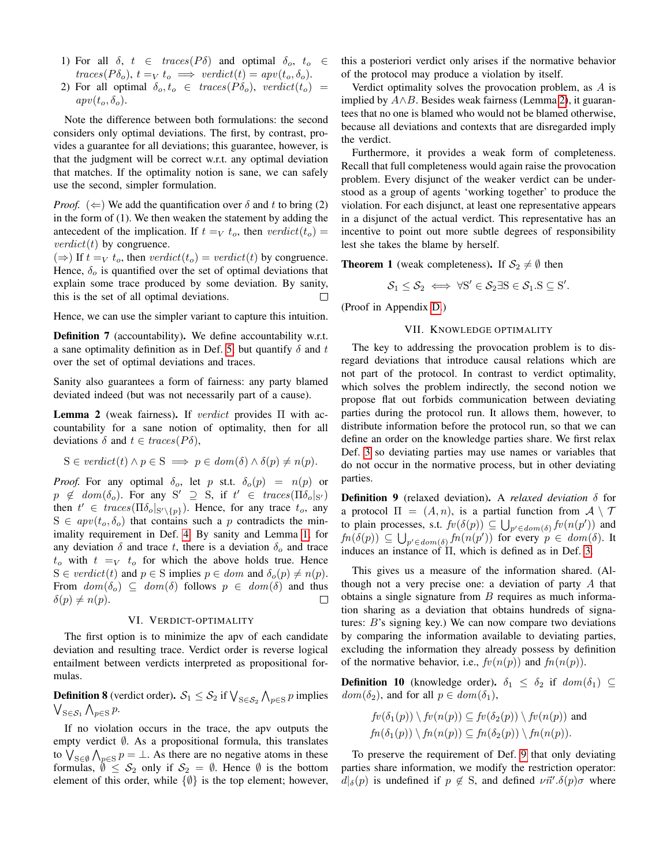- 1) For all  $\delta$ ,  $t \in \text{traces}(P\delta)$  and optimal  $\delta_o$ ,  $t_o \in$  $traces(P\delta_o), t =_V t_o \implies verdict(t) = app(t_o, \delta_o).$
- 2) For all optimal  $\delta_o, t_o \in traces(P\delta_o), verdict(t_o)$  $apv(t_o, \delta_o)$ .

Note the difference between both formulations: the second considers only optimal deviations. The first, by contrast, provides a guarantee for all deviations; this guarantee, however, is that the judgment will be correct w.r.t. any optimal deviation that matches. If the optimality notion is sane, we can safely use the second, simpler formulation.

*Proof.* ( $\Leftarrow$ ) We add the quantification over  $\delta$  and t to bring (2) in the form of (1). We then weaken the statement by adding the antecedent of the implication. If  $t =_V t_o$ , then verdict $(t_o)$  = *verdict*(*t*) by congruence.

(⇒) If  $t =<sub>V</sub> t<sub>o</sub>$ , then  $verdict(t<sub>o</sub>) = verdict(t)$  by congruence. Hence,  $\delta_{o}$  is quantified over the set of optimal deviations that explain some trace produced by some deviation. By sanity, this is the set of all optimal deviations.  $\Box$ 

Hence, we can use the simpler variant to capture this intuition.

Definition 7 (accountability). We define accountability w.r.t. a sane optimality definition as in Def. [5,](#page-6-0) but quantify  $\delta$  and  $t$ over the set of optimal deviations and traces.

Sanity also guarantees a form of fairness: any party blamed deviated indeed (but was not necessarily part of a cause).

<span id="page-8-0"></span>Lemma 2 (weak fairness). If *verdict* provides  $\Pi$  with accountability for a sane notion of optimality, then for all deviations  $\delta$  and  $t \in traces(P\delta)$ ,

$$
S \in verdict(t) \land p \in S \implies p \in dom(\delta) \land \delta(p) \neq n(p).
$$

*Proof.* For any optimal  $\delta_o$ , let p st.t.  $\delta_o(p) = n(p)$  or  $p \notin dom(\delta_o)$ . For any  $S' \supseteq S$ , if  $t' \in traces(\Pi \delta_o |_{S'})$ then  $t' \in \text{traces}(\Pi \delta_o |_{S' \setminus \{p\}})$ . Hence, for any trace  $t_o$ , any  $S \in appv(t_o, \delta_o)$  that contains such a p contradicts the minimality requirement in Def. [4.](#page-5-0) By sanity and Lemma [1,](#page-7-2) for any deviation  $\delta$  and trace t, there is a deviation  $\delta_o$  and trace  $t_o$  with  $t =_V t_o$  for which the above holds true. Hence  $S \in *verdict*(*t*)$  and  $p \in S$  implies  $p \in dom$  and  $\delta_o(p) \neq n(p)$ . From  $dom(\delta_o) \subseteq dom(\delta)$  follows  $p \in dom(\delta)$  and thus  $\Box$  $\delta(p) \neq n(p).$ 

#### VI. VERDICT-OPTIMALITY

The first option is to minimize the apv of each candidate deviation and resulting trace. Verdict order is reverse logical entailment between verdicts interpreted as propositional formulas.

**Definition 8** (verdict order).  $\mathcal{S}_1 \leq \mathcal{S}_2$  if  $\bigvee_{S \in \mathcal{S}_2} \bigwedge_{p \in S} p$  implies  $\bigvee_{S \in \mathcal{S}_1} \bigwedge_{p \in S} p$ .

If no violation occurs in the trace, the apv outputs the empty verdict ∅. As a propositional formula, this translates to  $\bigvee_{S \in \emptyset} \bigwedge_{p \in S} p = \bot$ . As there are no negative atoms in these formulas,  $\emptyset \leq S_2$  only if  $S_2 = \emptyset$ . Hence  $\emptyset$  is the bottom element of this order, while  $\{\emptyset\}$  is the top element; however, this a posteriori verdict only arises if the normative behavior of the protocol may produce a violation by itself.

Verdict optimality solves the provocation problem, as A is implied by  $A \wedge B$ . Besides weak fairness (Lemma [2\)](#page-8-0), it guarantees that no one is blamed who would not be blamed otherwise, because all deviations and contexts that are disregarded imply the verdict.

Furthermore, it provides a weak form of completeness. Recall that full completeness would again raise the provocation problem. Every disjunct of the weaker verdict can be understood as a group of agents 'working together' to produce the violation. For each disjunct, at least one representative appears in a disjunct of the actual verdict. This representative has an incentive to point out more subtle degrees of responsibility lest she takes the blame by herself.

<span id="page-8-2"></span>**Theorem 1** (weak completeness). If  $S_2 \neq \emptyset$  then

$$
\mathcal{S}_1 \leq \mathcal{S}_2 \iff \forall S' \in \mathcal{S}_2 \exists S \in \mathcal{S}_1.S \subseteq S'.
$$

(Proof in Appendix [D.](#page-14-1))

## VII. KNOWLEDGE OPTIMALITY

The key to addressing the provocation problem is to disregard deviations that introduce causal relations which are not part of the protocol. In contrast to verdict optimality, which solves the problem indirectly, the second notion we propose flat out forbids communication between deviating parties during the protocol run. It allows them, however, to distribute information before the protocol run, so that we can define an order on the knowledge parties share. We first relax Def. [3](#page-4-1) so deviating parties may use names or variables that do not occur in the normative process, but in other deviating parties.

<span id="page-8-1"></span>Definition 9 (relaxed deviation). A *relaxed deviation* δ for a protocol  $\Pi = (A, n)$ , is a partial function from  $A \setminus \mathcal{T}$ to plain processes, s.t.  $f v(\delta(p)) \subseteq \bigcup_{p' \in dom(\delta)} f v(n(p'))$  and  $fn(\delta(p)) \subseteq \bigcup_{p' \in dom(\delta)} fn(n(p'))$  for every  $p \in dom(\delta)$ . It induces an instance of  $\Pi$ , which is defined as in Def. [3.](#page-4-1)

This gives us a measure of the information shared. (Although not a very precise one: a deviation of party  $A$  that obtains a single signature from  $B$  requires as much information sharing as a deviation that obtains hundreds of signatures: B's signing key.) We can now compare two deviations by comparing the information available to deviating parties, excluding the information they already possess by definition of the normative behavior, i.e.,  $fv(n(p))$  and  $fn(n(p))$ .

**Definition 10** (knowledge order).  $\delta_1 \leq \delta_2$  if  $dom(\delta_1) \subseteq$  $dom(\delta_2)$ , and for all  $p \in dom(\delta_1)$ ,

$$
fv(\delta_1(p)) \setminus fv(n(p)) \subseteq fv(\delta_2(p)) \setminus fv(n(p))
$$
 and  

$$
fn(\delta_1(p)) \setminus fn(n(p)) \subseteq fn(\delta_2(p)) \setminus fn(n(p)).
$$

To preserve the requirement of Def. [9](#page-8-1) that only deviating parties share information, we modify the restriction operator:  $d|_{\delta}(p)$  is undefined if  $p \notin S$ , and defined  $\nu \vec{n}' \cdot \delta(p) \sigma$  where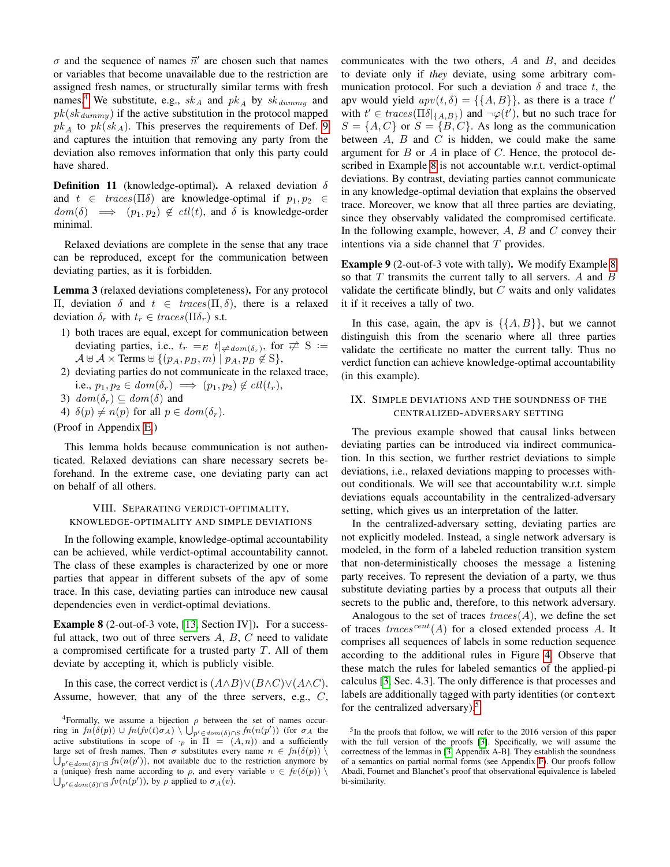$\sigma$  and the sequence of names  $\vec{n}'$  are chosen such that names or variables that become unavailable due to the restriction are assigned fresh names, or structurally similar terms with fresh names.<sup>[4](#page-9-1)</sup> We substitute, e.g.,  $sk_A$  and  $pk_A$  by  $sk_{dummy}$  and  $pk(sk_{dummy})$  if the active substitution in the protocol mapped  $pk_A$  to  $pk(sk_A)$ . This preserves the requirements of Def. [9](#page-8-1) and captures the intuition that removing any party from the deviation also removes information that only this party could have shared.

**Definition 11** (knowledge-optimal). A relaxed deviation  $\delta$ and  $t \in \text{traces}(\Pi \delta)$  are knowledge-optimal if  $p_1, p_2 \in$  $dom(\delta) \implies (p_1, p_2) \notin \text{cl}(t)$ , and  $\delta$  is knowledge-order minimal.

Relaxed deviations are complete in the sense that any trace can be reproduced, except for the communication between deviating parties, as it is forbidden.

<span id="page-9-4"></span>Lemma 3 (relaxed deviations completeness). For any protocol Π, deviation δ and  $t ∈ traces(Π, δ)$ , there is a relaxed deviation  $\delta_r$  with  $t_r \in \text{traces}(\Pi \delta_r)$  s.t.

- 1) both traces are equal, except for communication between deviating parties, i.e.,  $t_r =_E t|_{\neq dom(\delta_r)}$ , for  $\neq S :=$  $\mathcal{A} \uplus \mathcal{A} \times \text{Terms} \uplus \{ (p_A, p_B, m) \mid p_A, p_B \notin S \},\$
- 2) deviating parties do not communicate in the relaxed trace, i.e.,  $p_1, p_2 \in dom(\delta_r) \implies (p_1, p_2) \notin \text{cl}(t_r)$ ,
- 3)  $dom(\delta_r) \subseteq dom(\delta)$  and
- 4)  $\delta(p) \neq n(p)$  for all  $p \in dom(\delta_r)$ .

# (Proof in Appendix [E.](#page-15-0))

This lemma holds because communication is not authenticated. Relaxed deviations can share necessary secrets beforehand. In the extreme case, one deviating party can act on behalf of all others.

## VIII. SEPARATING VERDICT-OPTIMALITY, KNOWLEDGE-OPTIMALITY AND SIMPLE DEVIATIONS

In the following example, knowledge-optimal accountability can be achieved, while verdict-optimal accountability cannot. The class of these examples is characterized by one or more parties that appear in different subsets of the apv of some trace. In this case, deviating parties can introduce new causal dependencies even in verdict-optimal deviations.

<span id="page-9-2"></span>Example 8 (2-out-of-3 vote, [\[13,](#page-12-10) Section IV]). For a successful attack, two out of three servers  $A, B, C$  need to validate a compromised certificate for a trusted party  $T$ . All of them deviate by accepting it, which is publicly visible.

In this case, the correct verdict is  $(A \wedge B) \vee (B \wedge C) \vee (A \wedge C)$ . Assume, however, that any of the three servers, e.g., C, communicates with the two others,  $A$  and  $B$ , and decides to deviate only if *they* deviate, using some arbitrary communication protocol. For such a deviation  $\delta$  and trace t, the apv would yield  $apv(t, \delta) = \{\{A, B\}\}\$ , as there is a trace  $t'$ with  $t' \in \text{traces}(\Pi \delta |_{\{A,B\}})$  and  $\neg \varphi(t')$ , but no such trace for  $S = \{A, C\}$  or  $S = \{B, C\}$ . As long as the communication between  $A$ ,  $B$  and  $C$  is hidden, we could make the same argument for  $B$  or  $A$  in place of  $C$ . Hence, the protocol described in Example [8](#page-9-2) is not accountable w.r.t. verdict-optimal deviations. By contrast, deviating parties cannot communicate in any knowledge-optimal deviation that explains the observed trace. Moreover, we know that all three parties are deviating, since they observably validated the compromised certificate. In the following example, however,  $A$ ,  $B$  and  $C$  convey their intentions via a side channel that  $T$  provides.

Example 9 (2-out-of-3 vote with tally). We modify Example [8](#page-9-2) so that  $T$  transmits the current tally to all servers.  $A$  and  $B$ validate the certificate blindly, but  $C$  waits and only validates it if it receives a tally of two.

In this case, again, the apv is  $\{\{A, B\}\}\$ , but we cannot distinguish this from the scenario where all three parties validate the certificate no matter the current tally. Thus no verdict function can achieve knowledge-optimal accountability (in this example).

## <span id="page-9-0"></span>IX. SIMPLE DEVIATIONS AND THE SOUNDNESS OF THE CENTRALIZED-ADVERSARY SETTING

The previous example showed that causal links between deviating parties can be introduced via indirect communication. In this section, we further restrict deviations to simple deviations, i.e., relaxed deviations mapping to processes without conditionals. We will see that accountability w.r.t. simple deviations equals accountability in the centralized-adversary setting, which gives us an interpretation of the latter.

In the centralized-adversary setting, deviating parties are not explicitly modeled. Instead, a single network adversary is modeled, in the form of a labeled reduction transition system that non-deterministically chooses the message a listening party receives. To represent the deviation of a party, we thus substitute deviating parties by a process that outputs all their secrets to the public and, therefore, to this network adversary.

Analogous to the set of traces  $traces(A)$ , we define the set of traces  $traces^{cent}(A)$  for a closed extended process A. It comprises all sequences of labels in some reduction sequence according to the additional rules in Figure [4.](#page-10-0) Observe that these match the rules for labeled semantics of the applied-pi calculus [\[3,](#page-12-2) Sec. 4.3]. The only difference is that processes and labels are additionally tagged with party identities (or context for the centralized adversary).<sup>[5](#page-9-3)</sup>

<span id="page-9-1"></span><sup>&</sup>lt;sup>4</sup>Formally, we assume a bijection  $\rho$  between the set of names occurring in  $fn(\delta(p)) \cup fn(fv(t)\sigma_A) \setminus \bigcup'_{p' \in dom(\delta) \cap S} fn(n(p'))$  (for  $\sigma_A$  the active substitutions in scope of  $\cdot_p$  in  $\Pi = (A, n)$  and a sufficiently  $\bigcup_{p' \in dom(\delta) \cap S} fn(n(p'))$ , not available due to the restriction anymore by large set of fresh names. Then  $\sigma$  substitutes every name  $n \in fn(\delta(p))$  $\bigcup_{p' \in dom(\delta) \cap S} f_v(n(p'))$ , by  $\rho$  applied to  $\sigma_A(v)$ . a (unique) fresh name according to  $\rho$ , and every variable  $v \in f v(\delta(p))$ 

<span id="page-9-3"></span><sup>&</sup>lt;sup>5</sup>In the proofs that follow, we will refer to the 2016 version of this paper with the full version of the proofs [\[3\]](#page-12-2). Specifically, we will assume the correctness of the lemmas in [\[3,](#page-12-2) Appendix A-B]. They establish the soundness of a semantics on partial normal forms (see Appendix [F\)](#page-15-1). Our proofs follow Abadi, Fournet and Blanchet's proof that observational equivalence is labeled bi-similarity.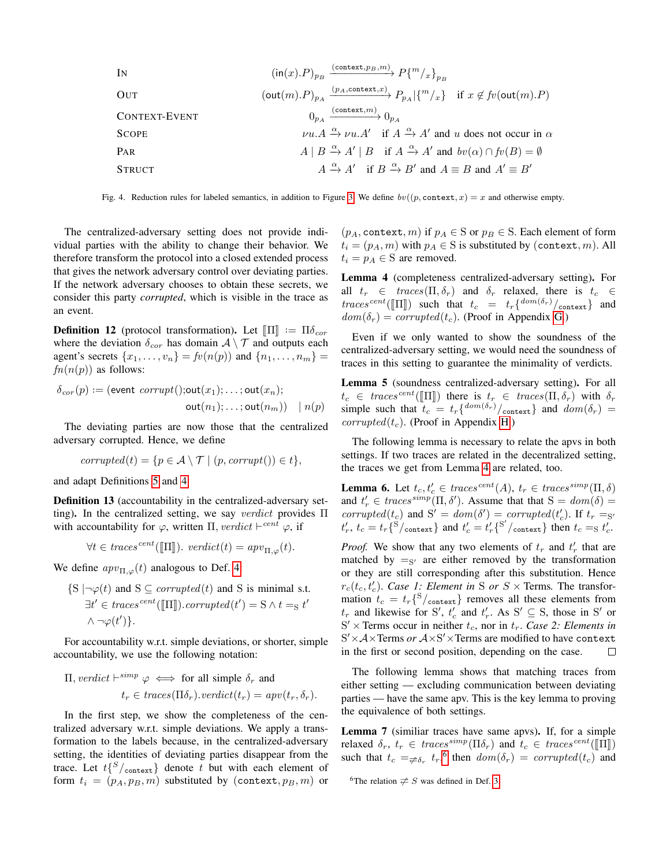| IN            | $(\text{in}(x).P)_{p_B}$                                                                                             | $(\text{context}, p_B, m)$ | $P\{m/x\}_{p_B}$ |
|---------------|----------------------------------------------------------------------------------------------------------------------|----------------------------|------------------|
| OUT           | $(\text{out}(m).P)_{p_A} \xrightarrow{(p_A, \text{context}, x)} P_{p_A}   \{m/x\}$ if $x \notin fv(\text{out}(m).P)$ |                            |                  |
| CONTEXT-EVENT | $0_{p_A} \xrightarrow{(\text{context}, m)} 0_{p_A}$                                                                  |                            |                  |
| Score         | $\nu u.A \xrightarrow{\alpha} \nu u.A'$ if $A \xrightarrow{\alpha} A'$ and $u$ does not occur in $\alpha$            |                            |                  |
| PAR           | $A \mid B \xrightarrow{\alpha} A' \mid B$ if $A \xrightarrow{\alpha} A'$ and $bv(\alpha) \cap fv(B) = \emptyset$     |                            |                  |
| STRUCT        | $A \xrightarrow{\alpha} A'$ if $B \xrightarrow{\alpha} B'$ and $A \equiv B$ and $A' \equiv B'$                       |                            |                  |

<span id="page-10-0"></span>Fig. 4. Reduction rules for labeled semantics, in addition to Figure [3.](#page-4-0) We define  $bv((p, \text{context}, x) = x$  and otherwise empty.

The centralized-adversary setting does not provide individual parties with the ability to change their behavior. We therefore transform the protocol into a closed extended process that gives the network adversary control over deviating parties. If the network adversary chooses to obtain these secrets, we consider this party *corrupted*, which is visible in the trace as an event.

**Definition 12** (protocol transformation). Let  $[\Pi] := \Pi \delta_{cor}$ <br>where the deviation  $\delta$  be domain  $A \setminus \mathcal{T}$  and outputs each where the deviation  $\delta_{cor}$  has domain  $\mathcal{A} \setminus \mathcal{T}$  and outputs each agent's secrets  $\{x_1, ..., x_n\} = f(v(n(p))$  and  $\{n_1, ..., n_m\}$  $fn(n(p))$  as follows:

$$
\delta_{cor}(p) := (\text{event }corrupt();\text{out}(x_1); \dots; \text{out}(x_n);
$$
  

$$
\text{out}(n_1); \dots; \text{out}(n_m)) \quad | \quad n(p)
$$

The deviating parties are now those that the centralized adversary corrupted. Hence, we define

$$
corrupted(t) = \{p \in \mathcal{A} \setminus \mathcal{T} \mid (p, \mathit{corrupt}()) \in t\},
$$

and adapt Definitions [5](#page-6-0) and [4.](#page-5-0)

Definition 13 (accountability in the centralized-adversary setting). In the centralized setting, we say *verdict* provides  $\Pi$ with accountability for  $\varphi$ , written  $\Pi$ , verdict  $\vdash^{cent} \varphi$ , if

$$
\forall t \in traces^{cent}([\![\Pi]\!]).\,\,verdict(t) = apv_{\Pi,\varphi}(t).
$$

We define  $apv_{\Pi,\varphi}(t)$  analogous to Def. [4:](#page-5-0)

 $\{S \mid \neg \varphi(t) \text{ and } S \subseteq corrupted(t) \text{ and } S \text{ is minimal s.t.} \}$  $\exists t' \in traces^{cent}([\![\Pi]\!]).corrupted(t') = S \wedge t =_S t'$  $\wedge \neg \varphi(t')\}.$ 

For accountability w.r.t. simple deviations, or shorter, simple accountability, we use the following notation:

$$
\Pi, \text{verdict} \vdash^{simp} \varphi \iff \text{for all simple } \delta_r \text{ and}
$$

$$
t_r \in \text{traces}(\Pi \delta_r). \text{verdict}(t_r) = \text{app}(t_r, \delta_r).
$$

In the first step, we show the completeness of the centralized adversary w.r.t. simple deviations. We apply a transformation to the labels because, in the centralized-adversary setting, the identities of deviating parties disappear from the trace. Let  $t\binom{S}{\text{context}}$  denote t but with each element of form  $t_i = (p_A, p_B, m)$  substituted by (context,  $p_B, m$ ) or

 $(p_A, \text{context}, m)$  if  $p_A \in S$  or  $p_B \in S$ . Each element of form  $t_i = (p_A, m)$  with  $p_A \in S$  is substituted by (context, m). All  $t_i = p_A \in S$  are removed.

<span id="page-10-1"></span>Lemma 4 (completeness centralized-adversary setting). For all  $t_r \in \text{traces}(\Pi, \delta_r)$  and  $\delta_r$  relaxed, there is  $t_c \in$ traces<sup>cent</sup>( $\llbracket \Pi \rrbracket$ ) such that  $t_c = t_r \{ \frac{dom(\delta_r)}{context} \}$  and  $dom(\delta_r) = computed(t)$ . (Proof in Appendix G)  $dom(\delta_r) = corrupted(t_c)$ . (Proof in Appendix [G.](#page-15-2))

Even if we only wanted to show the soundness of the centralized-adversary setting, we would need the soundness of traces in this setting to guarantee the minimality of verdicts.

<span id="page-10-3"></span>Lemma 5 (soundness centralized-adversary setting). For all  $t_c \in \text{traces}^{\text{cent}}(\llbracket \Pi \rrbracket)$  there is  $t_r \in \text{traces}(\Pi, \delta_r)$  with  $\delta_r$  simple such that  $t_c = t_r\{^{\text{dom}(\delta_r)}/\text{context}}\}$  and  $\text{dom}(\delta_r) =$ corrupted( $t_c$ ). (Proof in Appendix [H.](#page-16-0))

The following lemma is necessary to relate the apvs in both settings. If two traces are related in the decentralized setting, the traces we get from Lemma [4](#page-10-1) are related, too.

<span id="page-10-4"></span>**Lemma 6.** Let  $t_c, t_c' \in traces^{cent}(A), t_r \in traces^{simp}(\Pi, \delta)$ and  $t'_r \in \text{traces}^{\text{simp}}(\Pi, \delta').$  Assume that that  $S = \text{dom}(\delta) =$ corrupted( $t_c$ ) and S' = dom( $\delta'$ ) = corrupted( $t'_c$ ). If  $t_r = s$  $t'_r$ ,  $t_c = t_r \sqrt{\frac{S}{2}}/\text{context}$  and  $t'_c = t'_r \sqrt{\frac{S'}{\text{context}}}$  then  $t_c = t'_c$ .

*Proof.* We show that any two elements of  $t_r$  and  $t'_r$  that are matched by  $=_{S'}$  are either removed by the transformation or they are still corresponding after this substitution. Hence  $r_c(t_c, t'_c)$ . *Case 1: Element in* S *or*  $S \times$  Terms. The transformation  $t_c = t_r \{S_{\text{context}}\}\$  removes all these elements from  $t_r$  and likewise for S',  $t'_c$  and  $t'_r$ . As S'  $\subseteq$  S, those in S' or  $S' \times$  Terms occur in neither  $t_c$ , nor in  $t_r$ . *Case 2: Elements in*  $S' \times A \times \text{Terms } or \; \mathcal{A} \times S' \times \text{Terms }$  are modified to have context in the first or second position, depending on the case.  $\Box$ 

The following lemma shows that matching traces from either setting — excluding communication between deviating parties — have the same apv. This is the key lemma to proving the equivalence of both settings.

<span id="page-10-5"></span>Lemma 7 (similiar traces have same apvs). If, for a simple relaxed  $\delta_r$ ,  $t_r \in \text{traces}^{\text{simp}}(\Pi \delta_r)$  and  $t_c \in \text{traces}^{\text{cent}}(\Pi \Pi)$ such that  $t_c = \neq_{\delta_r} t_r$ , then  $dom(\delta_r) = corrupted(t_c)$  and

<span id="page-10-2"></span><sup>6</sup>The relation  $\neq$  S was defined in Def. [3.](#page-9-4)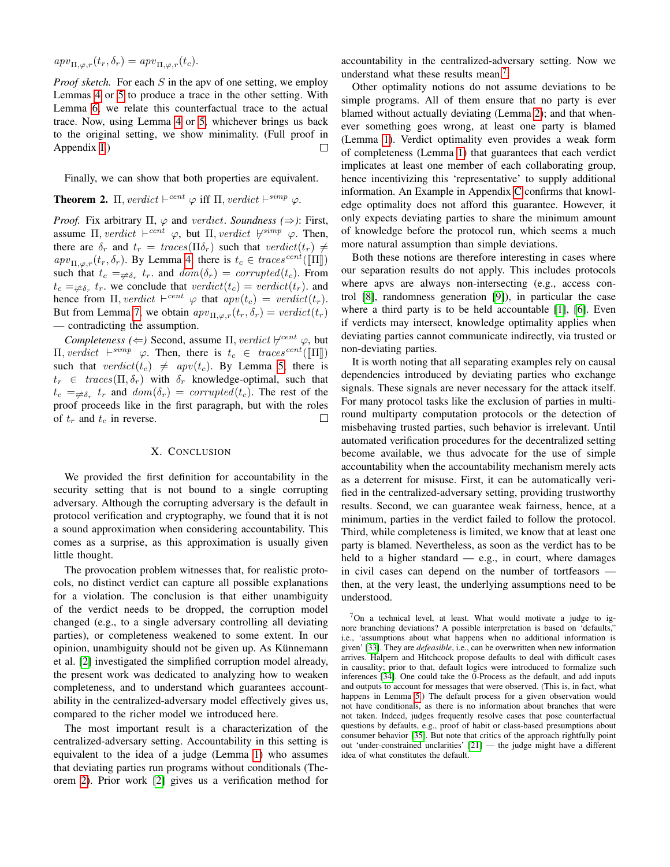$apv_{\Pi,\varphi,r}(t_r,\delta_r) = apv_{\Pi,\varphi,r}(t_c).$ 

*Proof sketch.* For each S in the apv of one setting, we employ Lemmas [4](#page-10-1) or [5](#page-10-3) to produce a trace in the other setting. With Lemma [6,](#page-10-4) we relate this counterfactual trace to the actual trace. Now, using Lemma [4](#page-10-1) or [5,](#page-10-3) whichever brings us back to the original setting, we show minimality. (Full proof in Appendix [I.](#page-17-0))

Finally, we can show that both properties are equivalent.

# <span id="page-11-0"></span>**Theorem 2.**  $\Pi$ , verdict  $\vdash^{cent} \varphi$  iff  $\Pi$ , verdict  $\vdash^{simp} \varphi$ .

*Proof.* Fix arbitrary  $\Pi$ ,  $\varphi$  and verdict. *Soundness* ( $\Rightarrow$ ): First, assume  $\Pi$ , verdict  $\vdash^{cent} \varphi$ , but  $\Pi$ , verdict  $\forall^{simp} \varphi$ . Then, there are  $\delta_r$  and  $t_r = \text{traces}(\Pi \delta_r)$  such that  $\text{verdict}(t_r) \neq$  $apv_{\Pi,\varphi,r}(t_r,\delta_r)$ . By Lemma [4,](#page-10-1) there is  $t_c \in \text{traces}^{\text{cent}}(\llbracket \Pi \rrbracket)$ such that  $t_c = \neq_{\delta_r} t_r$  and  $dom(\delta_r) = corrupted(t_c)$ . From  $t_c = \neq \delta_r$ ,  $t_r$ , we conclude that  $\text{verdict}(t_c) = \text{verdict}(t_r)$ , and hence from  $\Pi$ , verdict  $\vdash^{cent} \varphi$  that  $apv(t_c) = verdict(t_r)$ . But from Lemma [7,](#page-10-5) we obtain  $ap v_{\Pi,\varphi,r}(t_r, \delta_r) = verdict(t_r)$ — contradicting the assumption.

*Completeness* ( $\Leftarrow$ ) Second, assume  $\Pi$ , *verdict*  $\nvdash^{cent} \varphi$ , but II, verdict  $\vdash^{simp} \varphi$ . Then, there is  $t_c \in traces^{cent}(\llbracket \Pi \rrbracket)$ <br>such that excelent(t)  $\neq_{c}gen(t)$  By Lamma 5 there is such that verdict( $t_c$ )  $\neq$  apv( $t_c$ ). By Lemma [5,](#page-10-3) there is  $t_r \in \text{traces}(\Pi, \delta_r)$  with  $\delta_r$  knowledge-optimal, such that  $t_c =_{\neq \delta_r} t_r$  and  $dom(\delta_r) = corrupted(t_c)$ . The rest of the proof proceeds like in the first paragraph, but with the roles of  $t_r$  and  $t_c$  in reverse. П

#### X. CONCLUSION

We provided the first definition for accountability in the security setting that is not bound to a single corrupting adversary. Although the corrupting adversary is the default in protocol verification and cryptography, we found that it is not a sound approximation when considering accountability. This comes as a surprise, as this approximation is usually given little thought.

The provocation problem witnesses that, for realistic protocols, no distinct verdict can capture all possible explanations for a violation. The conclusion is that either unambiguity of the verdict needs to be dropped, the corruption model changed (e.g., to a single adversary controlling all deviating parties), or completeness weakened to some extent. In our opinion, unambiguity should not be given up. As Künnemann et al. [\[2\]](#page-12-1) investigated the simplified corruption model already, the present work was dedicated to analyzing how to weaken completeness, and to understand which guarantees accountability in the centralized-adversary model effectively gives us, compared to the richer model we introduced here.

The most important result is a characterization of the centralized-adversary setting. Accountability in this setting is equivalent to the idea of a judge (Lemma [1\)](#page-7-2) who assumes that deviating parties run programs without conditionals (Theorem [2\)](#page-11-0). Prior work [\[2\]](#page-12-1) gives us a verification method for accountability in the centralized-adversary setting. Now we understand what these results mean.<sup>[7](#page-11-1)</sup>

Other optimality notions do not assume deviations to be simple programs. All of them ensure that no party is ever blamed without actually deviating (Lemma [2\)](#page-8-0); and that whenever something goes wrong, at least one party is blamed (Lemma [1\)](#page-6-2). Verdict optimality even provides a weak form of completeness (Lemma [1\)](#page-8-2) that guarantees that each verdict implicates at least one member of each collaborating group, hence incentivizing this 'representative' to supply additional information. An Example in Appendix [C](#page-14-2) confirms that knowledge optimality does not afford this guarantee. However, it only expects deviating parties to share the minimum amount of knowledge before the protocol run, which seems a much more natural assumption than simple deviations.

Both these notions are therefore interesting in cases where our separation results do not apply. This includes protocols where apvs are always non-intersecting (e.g., access control [\[8\]](#page-12-22), randomness generation [\[9\]](#page-12-6)), in particular the case where a third party is to be held accountable [\[1\]](#page-12-0), [\[6\]](#page-12-5). Even if verdicts may intersect, knowledge optimality applies when deviating parties cannot communicate indirectly, via trusted or non-deviating parties.

It is worth noting that all separating examples rely on causal dependencies introduced by deviating parties who exchange signals. These signals are never necessary for the attack itself. For many protocol tasks like the exclusion of parties in multiround multiparty computation protocols or the detection of misbehaving trusted parties, such behavior is irrelevant. Until automated verification procedures for the decentralized setting become available, we thus advocate for the use of simple accountability when the accountability mechanism merely acts as a deterrent for misuse. First, it can be automatically verified in the centralized-adversary setting, providing trustworthy results. Second, we can guarantee weak fairness, hence, at a minimum, parties in the verdict failed to follow the protocol. Third, while completeness is limited, we know that at least one party is blamed. Nevertheless, as soon as the verdict has to be held to a higher standard  $-$  e.g., in court, where damages in civil cases can depend on the number of tortfeasors then, at the very least, the underlying assumptions need to be understood.

<span id="page-11-1"></span><sup>7</sup>On a technical level, at least. What would motivate a judge to ignore branching deviations? A possible interpretation is based on 'defaults," i.e., 'assumptions about what happens when no additional information is given' [\[33\]](#page-13-9). They are *defeasible*, i.e., can be overwritten when new information arrives. Halpern and Hitchcock propose defaults to deal with difficult cases in causality; prior to that, default logics were introduced to formalize such inferences [\[34\]](#page-13-10). One could take the 0-Process as the default, and add inputs and outputs to account for messages that were observed. (This is, in fact, what happens in Lemma [5.](#page-10-3)) The default process for a given observation would not have conditionals, as there is no information about branches that were not taken. Indeed, judges frequently resolve cases that pose counterfactual questions by defaults, e.g., proof of habit or class-based presumptions about consumer behavior [\[35\]](#page-13-11). But note that critics of the approach rightfully point out 'under-constrained unclarities' [\[21\]](#page-12-18) — the judge might have a different idea of what constitutes the default.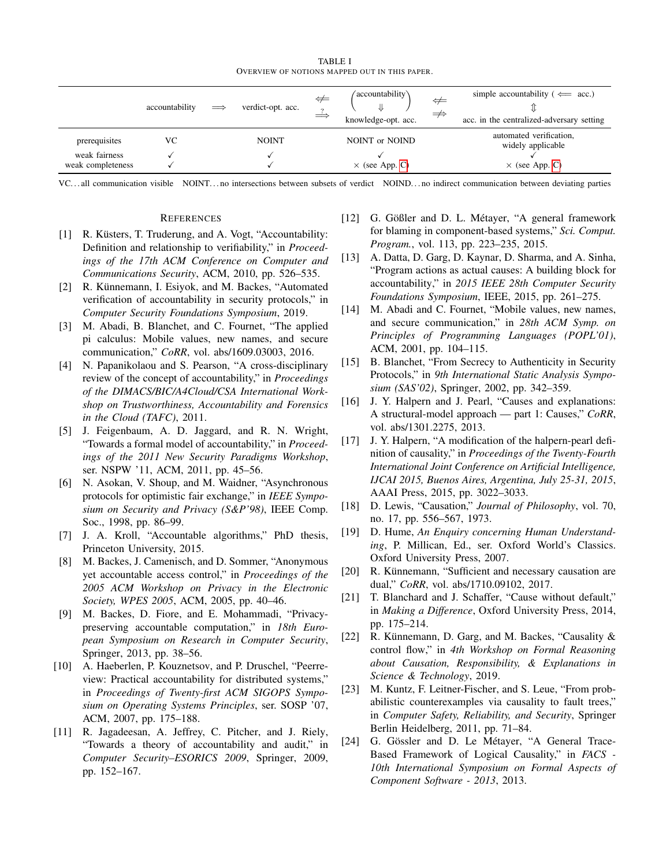TABLE I OVERVIEW OF NOTIONS MAPPED OUT IN THIS PAPER.

|                   |                |            |                   | ⇔ | (accountability)      | ⇔             | simple accountability ( $\Leftarrow$ acc.)   |
|-------------------|----------------|------------|-------------------|---|-----------------------|---------------|----------------------------------------------|
|                   | accountability | $\implies$ | verdict-opt. acc. |   | knowledge-opt. acc.   | $\Rightarrow$ | acc. in the centralized-adversary setting    |
|                   |                |            |                   |   |                       |               |                                              |
| prerequisites     | VС             |            | <b>NOINT</b>      |   | NOINT or NOIND        |               | automated verification,<br>widely applicable |
| weak fairness     |                |            |                   |   |                       |               |                                              |
| weak completeness |                |            |                   |   | $\times$ (see App. C) |               | $\times$ (see App. C)                        |

VC. . . all communication visible NOINT. . . no intersections between subsets of verdict NOIND. . . no indirect communication between deviating parties

#### **REFERENCES**

- <span id="page-12-0"></span>[1] R. Küsters, T. Truderung, and A. Vogt, "Accountability: Definition and relationship to verifiability," in *Proceedings of the 17th ACM Conference on Computer and Communications Security*, ACM, 2010, pp. 526–535.
- <span id="page-12-1"></span>[2] R. Künnemann, I. Esiyok, and M. Backes, "Automated" verification of accountability in security protocols," in *Computer Security Foundations Symposium*, 2019.
- <span id="page-12-2"></span>[3] M. Abadi, B. Blanchet, and C. Fournet, "The applied pi calculus: Mobile values, new names, and secure communication," *CoRR*, vol. abs/1609.03003, 2016.
- <span id="page-12-3"></span>[4] N. Papanikolaou and S. Pearson, "A cross-disciplinary review of the concept of accountability," in *Proceedings of the DIMACS/BIC/A4Cloud/CSA International Workshop on Trustworthiness, Accountability and Forensics in the Cloud (TAFC)*, 2011.
- <span id="page-12-4"></span>[5] J. Feigenbaum, A. D. Jaggard, and R. N. Wright, "Towards a formal model of accountability," in *Proceedings of the 2011 New Security Paradigms Workshop*, ser. NSPW '11, ACM, 2011, pp. 45–56.
- <span id="page-12-5"></span>[6] N. Asokan, V. Shoup, and M. Waidner, "Asynchronous protocols for optimistic fair exchange," in *IEEE Symposium on Security and Privacy (S&P'98)*, IEEE Comp. Soc., 1998, pp. 86–99.
- [7] J. A. Kroll, "Accountable algorithms," PhD thesis, Princeton University, 2015.
- <span id="page-12-22"></span>[8] M. Backes, J. Camenisch, and D. Sommer, "Anonymous yet accountable access control," in *Proceedings of the 2005 ACM Workshop on Privacy in the Electronic Society, WPES 2005*, ACM, 2005, pp. 40–46.
- <span id="page-12-6"></span>[9] M. Backes, D. Fiore, and E. Mohammadi, "Privacypreserving accountable computation," in *18th European Symposium on Research in Computer Security*, Springer, 2013, pp. 38–56.
- <span id="page-12-7"></span>[10] A. Haeberlen, P. Kouznetsov, and P. Druschel, "Peerreview: Practical accountability for distributed systems," in *Proceedings of Twenty-first ACM SIGOPS Symposium on Operating Systems Principles*, ser. SOSP '07, ACM, 2007, pp. 175–188.
- <span id="page-12-8"></span>[11] R. Jagadeesan, A. Jeffrey, C. Pitcher, and J. Riely, "Towards a theory of accountability and audit," in *Computer Security–ESORICS 2009*, Springer, 2009, pp. 152–167.
- <span id="page-12-9"></span>[12] G. Gößler and D. L. Métayer, "A general framework for blaming in component-based systems," *Sci. Comput. Program.*, vol. 113, pp. 223–235, 2015.
- <span id="page-12-10"></span>[13] A. Datta, D. Garg, D. Kaynar, D. Sharma, and A. Sinha, "Program actions as actual causes: A building block for accountability," in *2015 IEEE 28th Computer Security Foundations Symposium*, IEEE, 2015, pp. 261–275.
- <span id="page-12-11"></span>[14] M. Abadi and C. Fournet, "Mobile values, new names, and secure communication," in *28th ACM Symp. on Principles of Programming Languages (POPL'01)*, ACM, 2001, pp. 104–115.
- <span id="page-12-12"></span>[15] B. Blanchet, "From Secrecy to Authenticity in Security Protocols," in *9th International Static Analysis Symposium (SAS'02)*, Springer, 2002, pp. 342–359.
- <span id="page-12-13"></span>[16] J. Y. Halpern and J. Pearl, "Causes and explanations: A structural-model approach — part 1: Causes," *CoRR*, vol. abs/1301.2275, 2013.
- <span id="page-12-14"></span>[17] J. Y. Halpern, "A modification of the halpern-pearl definition of causality," in *Proceedings of the Twenty-Fourth International Joint Conference on Artificial Intelligence, IJCAI 2015, Buenos Aires, Argentina, July 25-31, 2015*, AAAI Press, 2015, pp. 3022–3033.
- <span id="page-12-15"></span>[18] D. Lewis, "Causation," *Journal of Philosophy*, vol. 70, no. 17, pp. 556–567, 1973.
- <span id="page-12-16"></span>[19] D. Hume, *An Enquiry concerning Human Understanding*, P. Millican, Ed., ser. Oxford World's Classics. Oxford University Press, 2007.
- <span id="page-12-17"></span>[20] R. Künnemann, "Sufficient and necessary causation are dual," *CoRR*, vol. abs/1710.09102, 2017.
- <span id="page-12-18"></span>[21] T. Blanchard and J. Schaffer, "Cause without default," in *Making a Difference*, Oxford University Press, 2014, pp. 175–214.
- <span id="page-12-19"></span>[22] R. Künnemann, D. Garg, and M. Backes, "Causality  $\&$ control flow," in *4th Workshop on Formal Reasoning about Causation, Responsibility, & Explanations in Science & Technology*, 2019.
- <span id="page-12-20"></span>[23] M. Kuntz, F. Leitner-Fischer, and S. Leue, "From probabilistic counterexamples via causality to fault trees," in *Computer Safety, Reliability, and Security*, Springer Berlin Heidelberg, 2011, pp. 71–84.
- <span id="page-12-21"></span>[24] G. Gössler and D. Le Métayer, "A General Trace-Based Framework of Logical Causality," in *FACS - 10th International Symposium on Formal Aspects of Component Software - 2013*, 2013.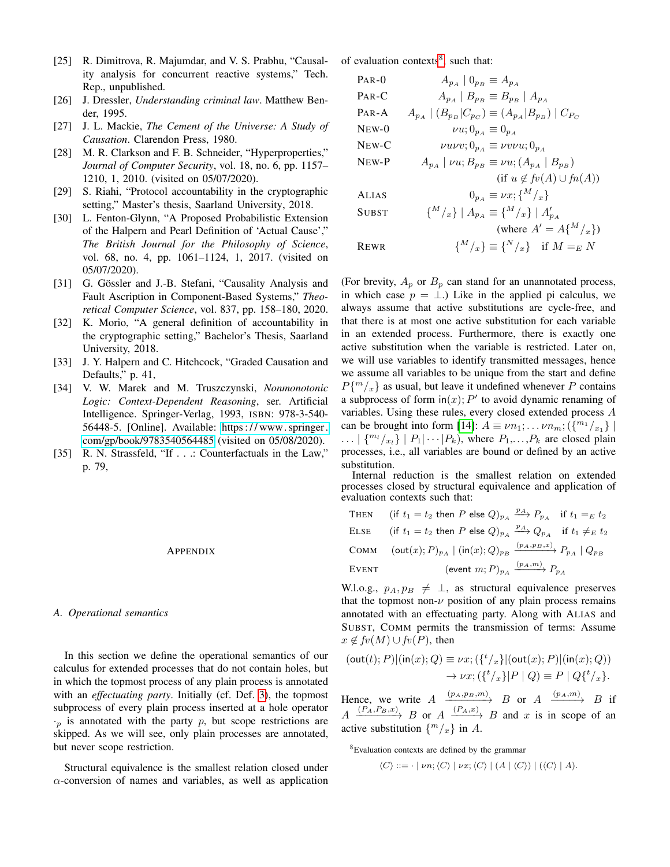- <span id="page-13-1"></span>[25] R. Dimitrova, R. Majumdar, and V. S. Prabhu, "Causality analysis for concurrent reactive systems," Tech. Rep., unpublished.
- <span id="page-13-2"></span>[26] J. Dressler, *Understanding criminal law*. Matthew Bender, 1995.
- <span id="page-13-3"></span>[27] J. L. Mackie, *The Cement of the Universe: A Study of Causation*. Clarendon Press, 1980.
- <span id="page-13-4"></span>[28] M. R. Clarkson and F. B. Schneider, "Hyperproperties," *Journal of Computer Security*, vol. 18, no. 6, pp. 1157– 1210, 1, 2010. (visited on 05/07/2020).
- <span id="page-13-5"></span>[29] S. Riahi, "Protocol accountability in the cryptographic setting," Master's thesis, Saarland University, 2018.
- <span id="page-13-6"></span>[30] L. Fenton-Glynn, "A Proposed Probabilistic Extension of the Halpern and Pearl Definition of 'Actual Cause'," *The British Journal for the Philosophy of Science*, vol. 68, no. 4, pp. 1061–1124, 1, 2017. (visited on 05/07/2020).
- <span id="page-13-7"></span>[31] G. Gössler and J.-B. Stefani, "Causality Analysis and Fault Ascription in Component-Based Systems," *Theoretical Computer Science*, vol. 837, pp. 158–180, 2020.
- <span id="page-13-8"></span>[32] K. Morio, "A general definition of accountability in the cryptographic setting," Bachelor's Thesis, Saarland University, 2018.
- <span id="page-13-9"></span>[33] J. Y. Halpern and C. Hitchcock, "Graded Causation and Defaults," p. 41,
- <span id="page-13-10"></span>[34] V. W. Marek and M. Truszczynski, *Nonmonotonic Logic: Context-Dependent Reasoning*, ser. Artificial Intelligence. Springer-Verlag, 1993, ISBN: 978-3-540- 56448-5. [Online]. Available: [https : / / www. springer.](https://www.springer.com/gp/book/9783540564485) [com/gp/book/9783540564485](https://www.springer.com/gp/book/9783540564485) (visited on 05/08/2020).
- <span id="page-13-11"></span>[35] R. N. Strassfeld, "If . . .: Counterfactuals in the Law," p. 79,

#### APPENDIX

## <span id="page-13-0"></span>*A. Operational semantics*

In this section we define the operational semantics of our calculus for extended processes that do not contain holes, but in which the topmost process of any plain process is annotated with an *effectuating party*. Initially (cf. Def. [3\)](#page-4-1), the topmost subprocess of every plain process inserted at a hole operator  $\cdot_p$  is annotated with the party p, but scope restrictions are skipped. As we will see, only plain processes are annotated, but never scope restriction.

Structural equivalence is the smallest relation closed under  $\alpha$ -conversion of names and variables, as well as application of evaluation contexts<sup>[8](#page-13-12)</sup>, such that:

| $PAR-0$                 | $A_{p_A} \mid 0_{p_B} \equiv A_{p_A}$                                |
|-------------------------|----------------------------------------------------------------------|
| $PAR-C$                 | $A_{p_A} \mid B_{p_B} \equiv B_{p_B} \mid A_{p_A}$                   |
| $PAR-A$                 | $A_{p_A}   (B_{p_B} C_{p_C}) \equiv (A_{p_A} B_{p_B})   C_{P_C}$     |
| $N$ <sub>E</sub> $W$ -0 | $\nu u; 0_{p_A} \equiv 0_{p_A}$                                      |
| $NEW-C$                 | $\nu u \nu v; 0_{\nu_A} \equiv \nu v \nu u; 0_{\nu_A}$               |
| NEW-P                   | $A_{p_A}$   $\nu u$ ; $B_{p_B} \equiv \nu u$ ; $(A_{p_A}   B_{p_B})$ |
|                         | $(f \circ u \notin f \circ (A) \cup f \circ (A))$                    |
| <b>ALIAS</b>            | $0_{p_4} \equiv \nu x; \{^M / _x\}$                                  |
| <b>SUBST</b>            | $\{^{M}/_{x}\}\, \,A_{p_{A}}\equiv\{^{M}/_{x}\}\, \,A'_{p_{A}}\}$    |
|                         | (where $A' = A\{M/x\}$ )                                             |
| <b>REWR</b>             | $\{M/_{x}\}\equiv\{N/_{x}\}\quad\text{if }M=_{E}N$                   |
|                         |                                                                      |

(For brevity,  $A_p$  or  $B_p$  can stand for an unannotated process, in which case  $p = \perp$ .) Like in the applied pi calculus, we always assume that active substitutions are cycle-free, and that there is at most one active substitution for each variable in an extended process. Furthermore, there is exactly one active substitution when the variable is restricted. Later on, we will use variables to identify transmitted messages, hence we assume all variables to be unique from the start and define  $P{m \choose x}$  as usual, but leave it undefined whenever P contains a subprocess of form  $\text{in}(x)$ ; P' to avoid dynamic renaming of variables. Using these rules, every closed extended process A can be brought into form [\[14\]](#page-12-11):  $A \equiv \nu n_1; \ldots \nu n_m; (\{m_1 /_{x_1}\})$  $\ldots | \{m_l/_{x_l}\} | P_1 | \cdots | P_k$ , where  $P_1, \ldots, P_k$  are closed plain processes, i.e., all variables are bound or defined by an active substitution.

Internal reduction is the smallest relation on extended processes closed by structural equivalence and application of evaluation contexts such that:

THEN (if 
$$
t_1 = t_2
$$
 then  $P$  else  $Q_{p_A} \xrightarrow{p_A} P_{p_A}$  if  $t_1 = E t_2$ 

\nELSE (if  $t_1 = t_2$  then  $P$  else  $Q_{p_A} \xrightarrow{p_A} Q_{p_A}$  if  $t_1 \neq E t_2$ 

\nCOMM (out(x);  $P_{p_A} | (\text{in}(x); Q)_{p_B} \xrightarrow{(p_A, p_B, x)} P_{p_A} | Q_{p_B}$ 

\nEvent (event  $m; P_{p_A} \xrightarrow{(p_A, m)} P_{p_A}$ 

W.l.o.g.,  $p_A, p_B \neq \perp$ , as structural equivalence preserves that the topmost non- $\nu$  position of any plain process remains annotated with an effectuating party. Along with ALIAS and SUBST, COMM permits the transmission of terms: Assume  $x \notin f(v(M) \cup f(v(P))$ , then

$$
(\text{out}(t); P)|(\text{in}(x); Q) \equiv \nu x; (\lbrace^t/_x \rbrace | (\text{out}(x); P)|(\text{in}(x); Q))
$$

$$
\rightarrow \nu x; (\lbrace^t/_x \rbrace | P \mid Q) \equiv P \mid Q \lbrace^t/_x \rbrace.
$$

Hence, we write  $A \xrightarrow{(p_A, p_B, m)} B$  or  $A \xrightarrow{(p_A, m)} B$  if  $A \xrightarrow{(P_A, P_B, x)} B$  or  $A \xrightarrow{(P_A, x)} B$  and x is in scope of an active substitution  $\{^{m}/_{x}\}\$ in A.

<span id="page-13-12"></span><sup>8</sup>Evaluation contexts are defined by the grammar

$$
\langle C \rangle ::= \cdot \mid \nu n; \langle C \rangle \mid \nu x; \langle C \rangle \mid (A \mid \langle C \rangle) \mid (\langle C \rangle \mid A).
$$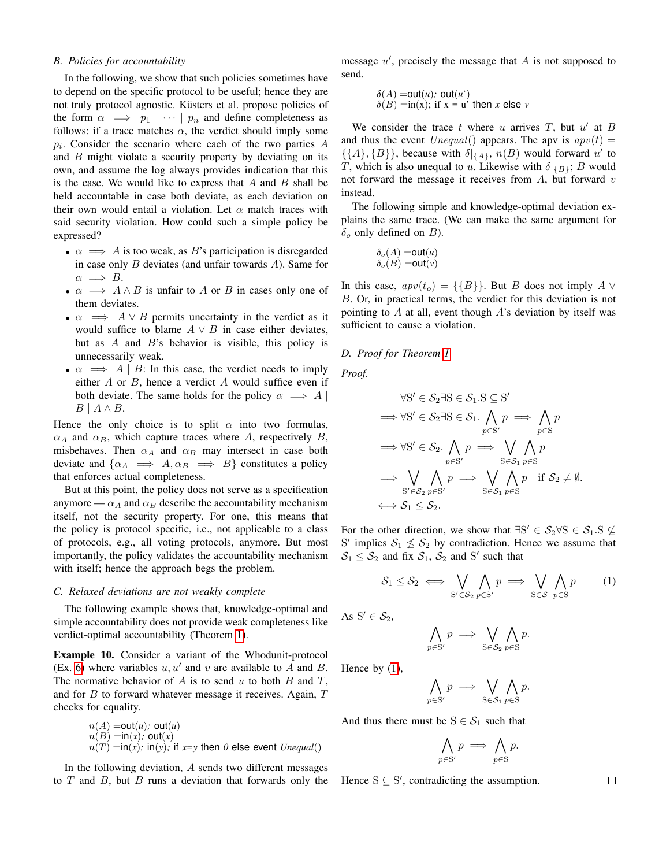## <span id="page-14-0"></span>*B. Policies for accountability*

In the following, we show that such policies sometimes have to depend on the specific protocol to be useful; hence they are not truly protocol agnostic. Küsters et al. propose policies of the form  $\alpha \implies p_1 \mid \cdots \mid p_n$  and define completeness as follows: if a trace matches  $\alpha$ , the verdict should imply some  $p_i$ . Consider the scenario where each of the two parties  $A$ and  $B$  might violate a security property by deviating on its own, and assume the log always provides indication that this is the case. We would like to express that  $A$  and  $B$  shall be held accountable in case both deviate, as each deviation on their own would entail a violation. Let  $\alpha$  match traces with said security violation. How could such a simple policy be expressed?

- $\alpha \implies A$  is too weak, as B's participation is disregarded in case only  $B$  deviates (and unfair towards  $A$ ). Same for  $\alpha \implies B$ .
- $\alpha \implies A \wedge B$  is unfair to A or B in cases only one of them deviates.
- $\alpha \implies A \vee B$  permits uncertainty in the verdict as it would suffice to blame  $A \vee B$  in case either deviates, but as  $A$  and  $B$ 's behavior is visible, this policy is unnecessarily weak.
- $\alpha \implies A \mid B$ : In this case, the verdict needs to imply either  $A$  or  $B$ , hence a verdict  $A$  would suffice even if both deviate. The same holds for the policy  $\alpha \implies A$  $B \mid A \wedge B$ .

Hence the only choice is to split  $\alpha$  into two formulas,  $\alpha_A$  and  $\alpha_B$ , which capture traces where A, respectively B, misbehaves. Then  $\alpha_A$  and  $\alpha_B$  may intersect in case both deviate and  $\{\alpha_A \implies A, \alpha_B \implies B\}$  constitutes a policy that enforces actual completeness.

But at this point, the policy does not serve as a specification anymore —  $\alpha_A$  and  $\alpha_B$  describe the accountability mechanism itself, not the security property. For one, this means that the policy is protocol specific, i.e., not applicable to a class of protocols, e.g., all voting protocols, anymore. But most importantly, the policy validates the accountability mechanism with itself; hence the approach begs the problem.

#### <span id="page-14-2"></span>*C. Relaxed deviations are not weakly complete*

The following example shows that, knowledge-optimal and simple accountability does not provide weak completeness like verdict-optimal accountability (Theorem [1\)](#page-8-2).

Example 10. Consider a variant of the Whodunit-protocol (Ex. [6\)](#page-6-3) where variables  $u, u'$  and v are available to A and B. The normative behavior of  $A$  is to send  $u$  to both  $B$  and  $T$ , and for  $B$  to forward whatever message it receives. Again,  $T$ checks for equality.

$$
n(A) = out(u); out(u)
$$
  
\n
$$
n(B) = in(x); out(x)
$$
  
\n
$$
n(T) = in(x); in(y); if x = y then 0 else event Unequal()
$$

In the following deviation, A sends two different messages to  $T$  and  $B$ , but  $B$  runs a deviation that forwards only the

message  $u'$ , precisely the message that  $A$  is not supposed to send.

$$
\delta(A) = out(u); out(u')
$$
  

$$
\delta(B) = in(x); \text{ if } x = u' \text{ then } x \text{ else } v
$$

We consider the trace  $t$  where  $u$  arrives  $T$ , but  $u'$  at  $B$ and thus the event  $\text{Unequal}()$  appears. The apv is  $\text{apv}(t) =$  $\{\{A\},\{B\}\}\$ , because with  $\delta|_{\{A\}}$ ,  $n(B)$  would forward u' to T, which is also unequal to u. Likewise with  $\delta|_{\{B\}}$ ; B would not forward the message it receives from  $A$ , but forward  $v$ instead.

The following simple and knowledge-optimal deviation explains the same trace. (We can make the same argument for  $\delta$ <sub>o</sub> only defined on *B*).

$$
\delta_o(A) = \text{out}(u)
$$
  

$$
\delta_o(B) = \text{out}(v)
$$

In this case,  $apv(t_o) = {\{B\}}$ . But B does not imply A  $\vee$ B. Or, in practical terms, the verdict for this deviation is not pointing to  $A$  at all, event though  $A$ 's deviation by itself was sufficient to cause a violation.

#### <span id="page-14-1"></span>*D. Proof for Theorem [1](#page-8-2)*

*Proof.*

$$
\forall S' \in \mathcal{S}_2 \exists S \in \mathcal{S}_1.S \subseteq S'
$$
  
\n
$$
\Rightarrow \forall S' \in \mathcal{S}_2 \exists S \in \mathcal{S}_1. \bigwedge_{p \in S'} p \implies \bigwedge_{p \in S} p
$$
  
\n
$$
\Rightarrow \forall S' \in \mathcal{S}_2. \bigwedge_{p \in S'} p \implies \bigvee_{S \in \mathcal{S}_1} \bigwedge_{p \in S} p
$$
  
\n
$$
\Rightarrow \bigvee_{S' \in \mathcal{S}_2} \bigwedge_{p \in S'} p \implies \bigvee_{S \in \mathcal{S}_1} \bigwedge_{p \in S} p \text{ if } \mathcal{S}_2 \neq \emptyset.
$$
  
\n
$$
\iff \mathcal{S}_1 \leq \mathcal{S}_2.
$$

For the other direction, we show that  $\exists S' \in S_2 \forall S \in S_1$ .  $S \nsubseteq$ S' implies  $S_1 \nleq S_2$  by contradiction. Hence we assume that  $S_1 \leq S_2$  and fix  $S_1$ ,  $S_2$  and S' such that

<span id="page-14-3"></span>
$$
S_1 \leq S_2 \iff \bigvee_{\mathbf{S}' \in S_2} \bigwedge_{p \in \mathbf{S}'} p \implies \bigvee_{\mathbf{S} \in S_1} \bigwedge_{p \in \mathbf{S}} p \tag{1}
$$

As  $S' \in \mathcal{S}_2$ ,

$$
\bigwedge_{p\in S'} p \implies \bigvee_{\mathbf{S}\in S_2} \bigwedge_{p\in \mathbf{S}} p.
$$

Hence by [\(1\)](#page-14-3),

$$
\bigwedge_{p\in S'} p \implies \bigvee_{S\in\mathcal{S}_1} \bigwedge_{p\in S} p.
$$

And thus there must be  $S \in S_1$  such that

 $p$ 

$$
\bigwedge_{p \in \mathcal{S'}} p \implies \bigwedge_{p \in \mathcal{S}} p.
$$

Hence  $S \subseteq S'$ , contradicting the assumption.

 $\Box$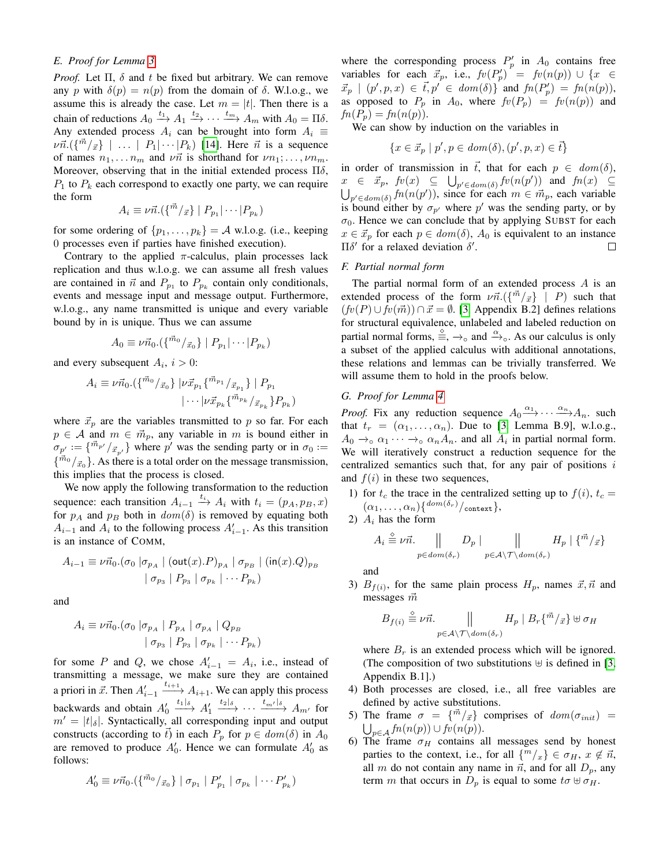## <span id="page-15-0"></span>*E. Proof for Lemma [3](#page-9-4)*

*Proof.* Let  $\Pi$ ,  $\delta$  and  $t$  be fixed but arbitrary. We can remove any p with  $\delta(p) = n(p)$  from the domain of  $\delta$ . W.l.o.g., we assume this is already the case. Let  $m = |t|$ . Then there is a chain of reductions  $A_0 \stackrel{t_1}{\longrightarrow} A_1 \stackrel{t_2}{\longrightarrow} \cdots \stackrel{t_m}{\longrightarrow} A_m$  with  $A_0 = \Pi \delta$ . Any extended process  $A_i$  can be brought into form  $A_i \equiv$  $\nu \vec{n}.(\{\vec{m}/_{\vec{x}}\} \mid ... \mid P_1 | \cdots | P_k)$  [\[14\]](#page-12-11). Here  $\vec{n}$  is a sequence of names  $n_1, \ldots, n_m$  and  $\nu \vec{n}$  is shorthand for  $\nu n_1; \ldots, \nu n_m$ . Moreover, observing that in the initial extended process  $\Pi \delta$ ,  $P_1$  to  $P_k$  each correspond to exactly one party, we can require the form

$$
A_i \equiv \nu \vec{n}.(\{\vec{m}/\vec{x}\} \mid P_{p_1} | \cdots | P_{p_k})
$$

for some ordering of  $\{p_1, \ldots, p_k\} = A$  w.l.o.g. (i.e., keeping 0 processes even if parties have finished execution).

Contrary to the applied  $\pi$ -calculus, plain processes lack replication and thus w.l.o.g. we can assume all fresh values are contained in  $\vec{n}$  and  $P_{p_1}$  to  $P_{p_k}$  contain only conditionals, events and message input and message output. Furthermore, w.l.o.g., any name transmitted is unique and every variable bound by in is unique. Thus we can assume

$$
A_0 \equiv \nu \vec{n}_0.({\{\vec{m}_0/\vec{x}_0\}} \mid P_{p_1} | \cdots | P_{p_k})
$$

and every subsequent  $A_i$ ,  $i > 0$ :

$$
A_i \equiv \nu \vec{n}_0 . (\{\vec{m}_0 /_{\vec{x}_0}\} \mid \nu \vec{x}_{p_1} {\{\vec{m}_{p_1} /_{\vec{x}_{p_1}}\} \mid P_{p_1} \n| \cdots |\nu \vec{x}_{p_k} {\{\vec{m}_{p_k} /_{\vec{x}_{p_k}}\} P_{p_k}} )
$$

where  $\vec{x}_p$  are the variables transmitted to p so far. For each  $p \in A$  and  $m \in \mathbb{m}_p$ , any variable in m is bound either in  $\sigma_{p'} := {\{\vec{m}_{p'} / \vec{x}_{p'}\}}$  where  $p'$  was the sending party or in  $\sigma_0 :=$  $\{\vec{m}_0/\vec{x}_0\}$ . As there is a total order on the message transmission, this implies that the process is closed.

We now apply the following transformation to the reduction sequence: each transition  $A_{i-1} \xrightarrow{t_i} A_i$  with  $t_i = (p_A, p_B, x)$ for  $p_A$  and  $p_B$  both in  $dom(\delta)$  is removed by equating both  $A_{i-1}$  and  $A_i$  to the following process  $A'_{i-1}$ . As this transition is an instance of COMM,

$$
A_{i-1} \equiv \nu \vec{n}_0 . (\sigma_0 \mid \sigma_{p_A} \mid (\text{out}(x).P)_{p_A} \mid \sigma_{p_B} \mid (\text{in}(x).Q)_{p_B} \mid \sigma_{p_3} \mid P_{p_3} \mid \sigma_{p_k} \mid \cdots P_{p_k})
$$

and

$$
A_{i} \equiv \nu \vec{n}_{0}.(\sigma_{0} \mid \sigma_{p_{A}} \mid P_{p_{A}} \mid \sigma_{p_{A}} \mid Q_{p_{B}} \mid \sigma_{p_{B}} \mid \sigma_{p_{B}} \mid \sigma_{p_{B}} \mid \sigma_{p_{B}} \mid \cdots P_{p_{k}})
$$

for some P and Q, we chose  $A'_{i-1} = A_i$ , i.e., instead of transmitting a message, we make sure they are contained a priori in  $\vec{x}$ . Then  $A'_{i-1} \xrightarrow{t_{i+1}} A_{i+1}$ . We can apply this process backwards and obtain  $A'_0 \xrightarrow{t_1|\delta} A'_1 \xrightarrow{t_2|\delta} \cdots \xrightarrow{t_{m'}|\delta} A_{m'}$  for  $m' = |t|\delta|$ . Syntactically, all corresponding input and output constructs (according to  $\bar{t}$ ) in each  $P_p$  for  $p \in dom(\delta)$  in  $A_0$ are removed to produce  $A'_0$ . Hence we can formulate  $A'_0$  as follows:

$$
A'_{0} \equiv \nu \vec{n}_{0}.(\{\vec{m}_{0}/_{\vec{x}_{0}}\} \mid \sigma_{p_{1}} \mid P'_{p_{1}} \mid \sigma_{p_{k}} \mid \cdots P'_{p_{k}})
$$

where the corresponding process  $P'_p$  in  $A_0$  contains free variables for each  $\vec{x}_p$ , i.e.,  $fv(P'_p)' = fv(n(p)) \cup \{x \in$  $\vec{x}_p \mid (p', p, x) \in \vec{t}, p' \in dom(\delta)$  and  $fn(P'_p) = fn(n(p)),$ as opposed to  $P_p$  in  $A_0$ , where  $fv(P_p) = fv(n(p))$  and  $fn(P_p) = fn(n(p)).$ 

We can show by induction on the variables in

$$
\{x \in \vec{x}_p \mid p', p \in \text{dom}(\delta), (p', p, x) \in \vec{t}\}
$$

in order of transmission in  $\vec{t}$ , that for each  $p \in dom(\delta)$ ,  $x \in \vec{x}_p$ ,  $f v(x) \subseteq \bigcup_{p' \in dom(\delta)} fr(n(p'))$  and  $fn(x) \subseteq$  $\bigcup_{p' \in dom(\delta)} fm(n(p'))$ , since for each  $m \in \vec{m}_p$ , each variable is bound either by  $\sigma_{p'}$  where p' was the sending party, or by  $\sigma_0$ . Hence we can conclude that by applying SUBST for each  $x \in \vec{x}_p$  for each  $p \in dom(\delta)$ ,  $A_0$  is equivalent to an instance Πδ' for a relaxed deviation  $δ'$ .  $\Box$ 

## <span id="page-15-1"></span>*F. Partial normal form*

The partial normal form of an extended process  $A$  is an extended process of the form  $\nu \vec{n}. (\{\vec{m}/\vec{x}\} \mid P)$  such that  $(fv(P) \cup fv(\vec{m})) \cap \vec{x} = \emptyset$ . [\[3,](#page-12-2) Appendix B.2] defines relations for structural equivalence, unlabeled and labeled reduction on partial normal forms,  $\stackrel{\circ}{\equiv}$ ,  $\rightarrow$ <sub>o</sub> and  $\stackrel{\alpha}{\rightarrow}$ <sub>o</sub>. As our calculus is only a subset of the applied calculus with additional annotations, these relations and lemmas can be trivially transferred. We will assume them to hold in the proofs below.

## <span id="page-15-2"></span>*G. Proof for Lemma [4](#page-10-1)*

*Proof.* Fix any reduction sequence  $A_0 \xrightarrow{\alpha_1} \cdots \xrightarrow{\alpha_n} A_n$ . such that  $t_r = (\alpha_1, \ldots, \alpha_n)$ . Due to [\[3,](#page-12-2) Lemma B.9], w.l.o.g.,  $A_0 \rightarrow \alpha_1 \cdots \rightarrow \alpha_n A_n$  and all  $A_i$  in partial normal form. We will iteratively construct a reduction sequence for the centralized semantics such that, for any pair of positions  $i$ and  $f(i)$  in these two sequences,

- 1) for  $t_c$  the trace in the centralized setting up to  $f(i)$ ,  $t_c =$  $(\alpha_1,\ldots,\alpha_n)\{\frac{dom(\delta_r)}{context}\},$
- 2)  $A_i$  has the form

$$
A_i \stackrel{\circ}{\equiv} \nu \vec{n}.\qquad \bigg\|\qquad D_p \mid \qquad \bigg\|\qquad H_p \mid \{\vec{m}/\vec{x}\}\
$$

$$
p \in dom(\delta_r) \qquad p \in A \setminus \mathcal{T} \setminus dom(\delta_r)
$$

and

3)  $B_{f(i)}$ , for the same plain process  $H_p$ , names  $\vec{x}, \vec{n}$  and messages  $\vec{m}$ 

$$
B_{f(i)} \stackrel{\circ}{=} \nu \vec{n}.\qquad \qquad \parallel \qquad H_p \mid B_r\{\vec{m}/\vec{x}\} \uplus \sigma_H
$$
  

$$
p \in A \setminus \mathcal{T} \setminus dom(\delta_r)
$$

where  $B_r$  is an extended process which will be ignored. (The composition of two substitutions  $\forall$  is defined in [\[3,](#page-12-2) Appendix B.1].)

- 4) Both processes are closed, i.e., all free variables are defined by active substitutions.
- 5) The frame  $\sigma = {\vec{m}}/{\vec{x}}$  comprises of  $dom(\sigma_{init})$  =  $\bigcup_{p\in\mathcal{A}}$  fn $(n(p))\cup$  fv $(n(p)).$
- 6) The frame  $\sigma_H$  contains all messages send by honest parties to the context, i.e., for all  $\{m/x\} \in \sigma_H$ ,  $x \notin \vec{n}$ , all m do not contain any name in  $\vec{n}$ , and for all  $D_n$ , any term m that occurs in  $D_p$  is equal to some  $t\sigma \oplus \sigma_H$ .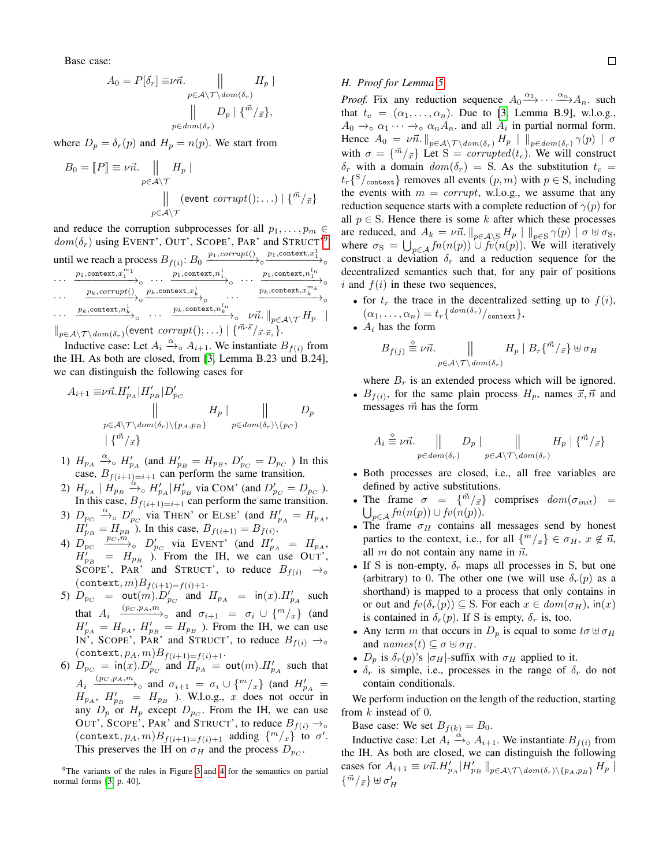Base case:

$$
A_0 = P[\delta_r] \equiv \nu \vec{n}.
$$
  
\n
$$
P[\delta_r] = \nu \vec{n}.
$$
  
\n
$$
\mu \in \mathcal{A} \setminus \mathcal{T} \setminus \text{dom}(\delta_r)
$$
  
\n
$$
\mu \in \text{dom}(\delta_r)
$$

where  $D_p = \delta_r(p)$  and  $H_p = n(p)$ . We start from

$$
B_0 = [P] \equiv \nu \vec{n}.
$$
  
\n
$$
\parallel H_p |
$$
  
\n
$$
\parallel (\text{event corrupt}();...)| \{\vec{m}/\vec{x}\}
$$
  
\n
$$
p \in \mathcal{A} \setminus \mathcal{T}
$$

and reduce the corruption subprocesses for all  $p_1, \ldots, p_m \in$  $dom(\delta_r)$  using EVENT', OUT', SCOPE', PAR' and STRUCT'<sup>[9](#page-16-1)</sup> until we reach a process  $B_{f(i)}$ :  $B_0 \xrightarrow{p_1, corrupt)} \circ \xrightarrow{p_1,context, x_1^1} \circ$ 

$$
\begin{array}{lll}\n\cdots & \frac{p_1, \text{context}, x_1^{n_1}}{p_1, \text{context}, x_1^{n_1}} & \cdots & \frac{p_1, \text{context}, n_1^1}{p_1, \text{context}, n_1^{n_1}} \\
\cdots & \frac{p_k, \text{correct}, x_1^{n_1}}{p_k, \text{context}, x_k^{n_k}} & \cdots & \frac{p_k, \text{context}, x_k^{n_k}}{p_k, \text{context}, x_k^{n_k}} \\
\cdots & \frac{p_k, \text{context}, n_k^1}{p_k, \text{context}, n_k^{n_1}} & \cdots & \frac{p_k, \text{context}, n_k^{n_k}}{p_k, \text{context}, n_k^{n_k}} \\
\vdots & \vdots & \ddots & \vdots \\
\|p \in A \setminus \mathcal{T} \setminus \text{dom}(\delta_r) \text{ (event corrupt(); } \ldots) & \frac{1}{n^m \cdot s / x \cdot s}.\n\end{array}
$$

Inductive case: Let  $A_i \xrightarrow{\alpha} A_{i+1}$ . We instantiate  $B_{f(i)}$  from the IH. As both are closed, from [\[3,](#page-12-2) Lemma B.23 und B.24], we can distinguish the following cases for

$$
A_{i+1} \equiv \nu \vec{n} . H'_{p_A} | H'_{p_B} | D'_{p_C}
$$
  
 
$$
\parallel H_p | H_p | D'_{p_C}
$$
  
 
$$
= \mu \in \mathcal{A} \setminus \mathcal{T} \setminus \text{dom}(\delta_r) \setminus \{p_A, p_B\}
$$
  
 
$$
\downarrow \{\vec{m}/_{\vec{x}}\}
$$

- 1)  $H_{p_A} \xrightarrow{\alpha} H'_{p_A}$  (and  $H'_{p_B} = H_{p_B}$ ,  $D'_{p_C} = D_{p_C}$  ) In this case,  $B_{f(i+1)=i+1}$  can perform the same transition.
- 2)  $H_{p_A} | H_{p_B} \xrightarrow{\alpha} H'_{p_A} | H'_{p_B}$  via COM' (and  $D'_{p_C} = D_{p_C}$ ). In this case,  $B_{f(i+1)=i+1}$  can perform the same transition.
- 3)  $D_{p_C} \xrightarrow{\alpha} D'_{p_C}$  via THEN' or ELSE' (and  $H'_{p_A} = H_{p_A}$ ,  $H_{p_B}^{'} = H_{p_B}^{'}$ . In this case,  $B_{f(i+1)} = B_{f(i)}$ .
- 4)  $D_{p_C}^{P}$   $p_C, m$ ,  $D'_{p_C}$  via EVENT' (and  $H'_{p_A} = H_{p_A}$ ,  $H'_{p_B} = H_{p_B}$  ). From the IH, we can use OUT', SCOPE', PAR' and STRUCT', to reduce  $B_{f(i)} \rightarrow \infty$  $(\texttt{context}, m)B_{f(i+1)=f(i)+1}.$
- 5)  $D_{p_C}$  = out $(m)$ .  $D'_{p_C}$  and  $H_{p_A}$  = in $(x)$ .  $H'_{p_A}$  such that  $A_i \xrightarrow{(p_C, p_A, m)} \circ$  and  $\sigma_{i+1} = \sigma_i \cup \{m/x\}$  (and  $H'_{p_A} = H_{p_A}$ ,  $H'_{p_B} = H_{p_B}$ ). From the IH, we can use IN', SCOPE', PAR' and STRUCT', to reduce  $B_{f(i)} \rightarrow \infty$  $(\texttt{context}, p_A, m)B_{f(i+1)=f(i)+1}.$
- 6)  $D_{p_C} = \text{in}(x) \cdot D'_{p_C}$  and  $H_{p_A} = \text{out}(m) \cdot H'_{p_A}$  such that  $A_i \xrightarrow{(p_C, p_A, m)}$ <sub>o</sub> and  $\sigma_{i+1} = \sigma_i \cup \{m/_x\}$  (and  $H'_{p_A} =$  $H_{p_A}$ ,  $H'_{p_B} = H_{p_B}$ ). W.l.o.g., x does not occur in any  $D_p$  or  $H_p$  except  $D_{p_C}$ . From the IH, we can use OUT', SCOPE', PAR' and STRUCT', to reduce  $B_{f(i)} \rightarrow \infty$ (context,  $p_A$ ,  $m)B_{f(i+1)=f(i)+1}$  adding  $\{m/x\}$  to  $\sigma'$ . This preserves the IH on  $\sigma_H$  and the process  $D_{p_C}$ .

<span id="page-16-1"></span><sup>9</sup>The variants of the rules in Figure [3](#page-4-0) and [4](#page-10-0) for the semantics on partial normal forms [\[3,](#page-12-2) p. 40].

#### <span id="page-16-0"></span>*H. Proof for Lemma [5](#page-10-3)*

*Proof.* Fix any reduction sequence  $A_0 \xrightarrow{\alpha_1} \cdots \xrightarrow{\alpha_n} A_n$ . such that  $t_c = (\alpha_1, \ldots, \alpha_n)$ . Due to [\[3,](#page-12-2) Lemma B.9], w.l.o.g.,  $A_0 \rightarrow_\circ \alpha_1 \cdots \rightarrow_\circ \alpha_n A_n$  and all  $A_i$  in partial normal form. Hence  $A_0 = \nu \vec{n}$ .  $\|_{p \in A \setminus \mathcal{T} \setminus dom(\delta_r)} H_p \| \|_{p \in dom(\delta_r)} \gamma(p) \| \sigma$ with  $\sigma = {\bar{m}/\bar{x}}$  Let  $S = corrupted(t_c)$ . We will construct  $\delta_r$  with a domain  $dom(\delta_r) = S$ . As the substitution  $t_c =$  $t_r\{S/\text{context}\}\)$  removes all events  $(p, m)$  with  $p \in S$ , including the events with  $m = corrupt$ , w.l.o.g., we assume that any reduction sequence starts with a complete reduction of  $\gamma(p)$  for all  $p \in S$ . Hence there is some k after which these processes are reduced, and  $A_k = \nu \vec{n}$ .  $\|_{p \in \mathcal{A} \setminus \mathcal{S}} H_p \| \|_{p \in \mathcal{S}} \gamma(p) \| \sigma \uplus \sigma_{\mathcal{S}}$ , where  $\sigma_{\rm S} = \bigcup_{p \in A} f_n(n(p)) \cup f_v(n(p))$ . We will iteratively construct a deviation  $\delta_r$  and a reduction sequence for the decentralized semantics such that, for any pair of positions i and  $f(i)$  in these two sequences,

- for  $t_r$  the trace in the decentralized setting up to  $f(i)$ ,  $(\alpha_1, \ldots, \alpha_n) = t_r \{^{dom(\delta_r)}/_{\text{context}}\},$
- $A_i$  has the form

Ai

$$
B_{f(j)} \stackrel{\circ}{\equiv} \nu \vec{n}.\qquad \qquad \bigg\|\qquad H_p \mid B_r\{\vec{m}/\vec{x}\} \uplus \sigma_H
$$

where  $B_r$  is an extended process which will be ignored.

•  $B_{f(i)}$ , for the same plain process  $H_p$ , names  $\vec{x}, \vec{n}$  and messages  $\vec{m}$  has the form

$$
A_i \stackrel{\circ}{\equiv} \nu \vec{n}.\qquad \bigg\|\qquad D_p \mid \qquad \bigg\|\qquad H_p \mid \{\vec{m}/\vec{x}\}\qquad
$$

$$
p \in dom(\delta_r) \qquad p \in \mathcal{A} \setminus \mathcal{T} \setminus dom(\delta_r)
$$

- Both processes are closed, i.e., all free variables are defined by active substitutions.
- The frame  $\sigma = {\vec{m}/\vec{x}}$  comprises  $dom(\sigma_{init})$  =  $\bigcup_{p\in\mathcal{A}}$  fn $(n(p))\cup$  fv $(n(p)).$
- The frame  $\sigma_H$  contains all messages send by honest parties to the context, i.e., for all  $\{m/x\} \in \sigma_H$ ,  $x \notin \vec{n}$ , all  $m$  do not contain any name in  $\vec{n}$ .
- If S is non-empty,  $\delta_r$  maps all processes in S, but one (arbitrary) to 0. The other one (we will use  $\delta_r(p)$  as a shorthand) is mapped to a process that only contains in or out and  $fv(\delta_r(p)) \subseteq S$ . For each  $x \in dom(\sigma_H)$ , in $(x)$ is contained in  $\delta_r(p)$ . If S is empty,  $\delta_r$  is, too.
- Any term m that occurs in  $D_p$  is equal to some  $t\sigma \oplus \sigma_H$ and  $names(t) \subseteq \sigma \uplus \sigma_H$ .
- $D_p$  is  $\delta_r(p)$ 's  $|\sigma_H|$ -suffix with  $\sigma_H$  applied to it.
- $\delta_r$  is simple, i.e., processes in the range of  $\delta_r$  do not contain conditionals.

We perform induction on the length of the reduction, starting from k instead of 0.

Base case: We set  $B_{f(k)} = B_0$ .

Inductive case: Let  $A_i \xrightarrow{\dot{\alpha}} A_{i+1}$ . We instantiate  $B_{f(i)}$  from the IH. As both are closed, we can distinguish the following cases for  $A_{i+1} \equiv \nu \vec{n} . H'_{p_A} | H'_{p_B} |_{p \in A \setminus \mathcal{T} \setminus dom(\delta_r) \setminus \{p_A, p_B\}} H_p |$  $\{\vec{m}/\vec{x}\}\uplus \sigma_H'$